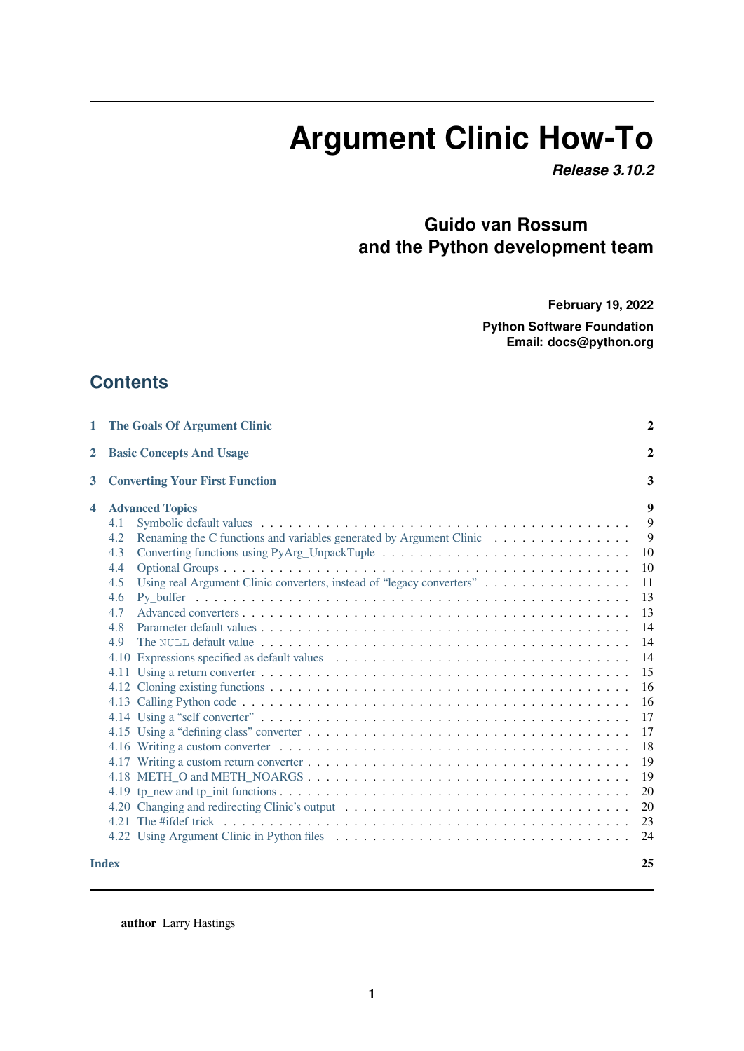# **Argument Clinic How-To**

*Release 3.10.2*

## **Guido van Rossum and the Python development team**

**February 19, 2022**

**Python Software Foundation Email: docs@python.org**

## **Contents**

|   |                                       | 1 The Goals Of Argument Clinic                                      | $\overline{2}$    |  |  |  |
|---|---------------------------------------|---------------------------------------------------------------------|-------------------|--|--|--|
| 2 |                                       | <b>Basic Concepts And Usage</b>                                     | $\mathbf{2}$      |  |  |  |
| 3 | <b>Converting Your First Function</b> |                                                                     | 3                 |  |  |  |
| 4 | 4.1                                   | <b>Advanced Topics</b>                                              | 9<br>$\mathbf{Q}$ |  |  |  |
|   | 4.2                                   | Renaming the C functions and variables generated by Argument Clinic | 9                 |  |  |  |
|   | 4.3                                   |                                                                     | 10                |  |  |  |
|   | 4.4                                   |                                                                     | 10                |  |  |  |
|   | 4.5<br>4.6                            |                                                                     | 11<br>13          |  |  |  |
|   | 4.7                                   |                                                                     | 13                |  |  |  |
|   | 4.8                                   |                                                                     | 14                |  |  |  |
|   | 4.9                                   |                                                                     | 14                |  |  |  |
|   |                                       | 4.10 Expressions specified as default values                        | 14                |  |  |  |
|   |                                       |                                                                     | 15                |  |  |  |
|   |                                       |                                                                     | 16                |  |  |  |
|   |                                       |                                                                     | 16                |  |  |  |
|   |                                       |                                                                     | 17                |  |  |  |
|   |                                       |                                                                     | 17                |  |  |  |
|   |                                       |                                                                     | 18                |  |  |  |
|   |                                       |                                                                     | 19<br>19          |  |  |  |
|   |                                       |                                                                     | 20                |  |  |  |
|   |                                       |                                                                     | 20                |  |  |  |
|   |                                       |                                                                     | 23                |  |  |  |
|   |                                       |                                                                     | 24                |  |  |  |
|   | <b>Index</b><br>25                    |                                                                     |                   |  |  |  |

**author** Larry Hastings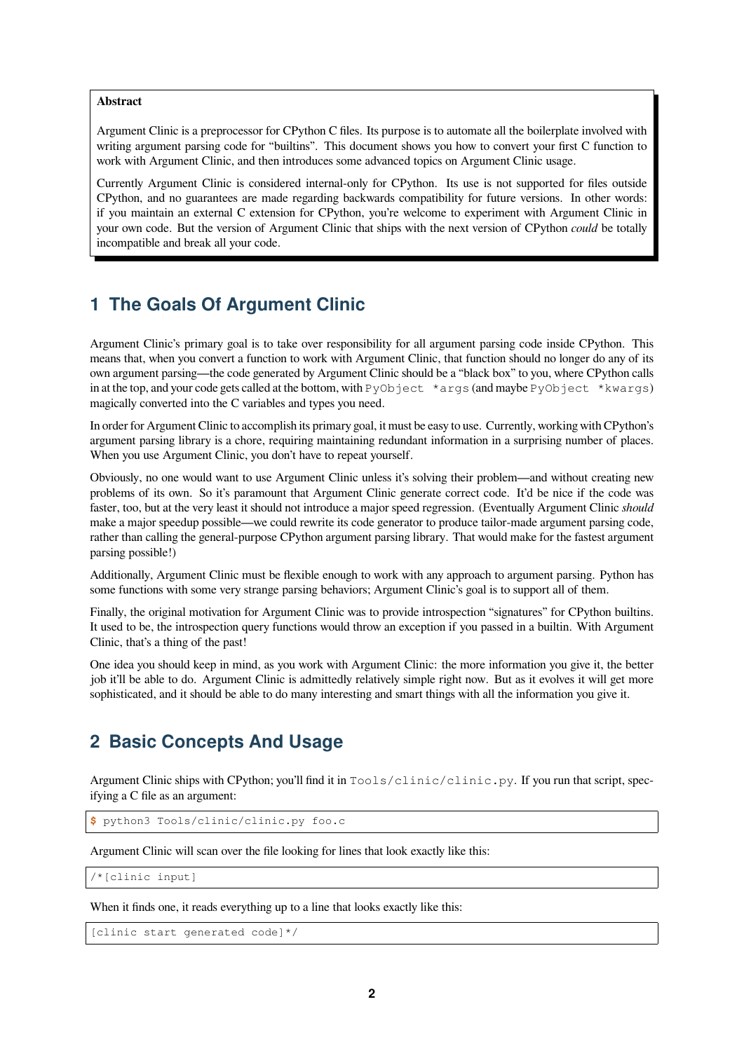#### **Abstract**

Argument Clinic is a preprocessor for CPython C files. Its purpose is to automate all the boilerplate involved with writing argument parsing code for "builtins". This document shows you how to convert your first C function to work with Argument Clinic, and then introduces some advanced topics on Argument Clinic usage.

Currently Argument Clinic is considered internal-only for CPython. Its use is not supported for files outside CPython, and no guarantees are made regarding backwards compatibility for future versions. In other words: if you maintain an external C extension for CPython, you're welcome to experiment with Argument Clinic in your own code. But the version of Argument Clinic that ships with the next version of CPython *could* be totally incompatible and break all your code.

## <span id="page-1-0"></span>**1 The Goals Of Argument Clinic**

Argument Clinic's primary goal is to take over responsibility for all argument parsing code inside CPython. This means that, when you convert a function to work with Argument Clinic, that function should no longer do any of its own argument parsing—the code generated by Argument Clinic should be a "black box" to you, where CPython calls in at the top, and your code gets called at the bottom, with PyObject  $*args$  (and maybe PyObject  $*kwargs$ ) magically converted into the C variables and types you need.

In order for Argument Clinic to accomplish its primary goal, it must be easy to use. Currently, working with CPython's argument parsing library is a chore, requiring maintaining redundant information in a surprising number of places. When you use Argument Clinic, you don't have to repeat yourself.

Obviously, no one would want to use Argument Clinic unless it's solving their problem—and without creating new problems of its own. So it's paramount that Argument Clinic generate correct code. It'd be nice if the code was faster, too, but at the very least it should not introduce a major speed regression. (Eventually Argument Clinic *should* make a major speedup possible—we could rewrite its code generator to produce tailor-made argument parsing code, rather than calling the general-purpose CPython argument parsing library. That would make for the fastest argument parsing possible!)

Additionally, Argument Clinic must be flexible enough to work with any approach to argument parsing. Python has some functions with some very strange parsing behaviors; Argument Clinic's goal is to support all of them.

Finally, the original motivation for Argument Clinic was to provide introspection "signatures" for CPython builtins. It used to be, the introspection query functions would throw an exception if you passed in a builtin. With Argument Clinic, that's a thing of the past!

One idea you should keep in mind, as you work with Argument Clinic: the more information you give it, the better job it'll be able to do. Argument Clinic is admittedly relatively simple right now. But as it evolves it will get more sophisticated, and it should be able to do many interesting and smart things with all the information you give it.

## <span id="page-1-1"></span>**2 Basic Concepts And Usage**

Argument Clinic ships with CPython; you'll find it in Tools/clinic/clinic.py. If you run that script, specifying a C file as an argument:

**\$** python3 Tools/clinic/clinic.py foo.c

Argument Clinic will scan over the file looking for lines that look exactly like this:

/\*[clinic input]

When it finds one, it reads everything up to a line that looks exactly like this:

[clinic start generated code]\*/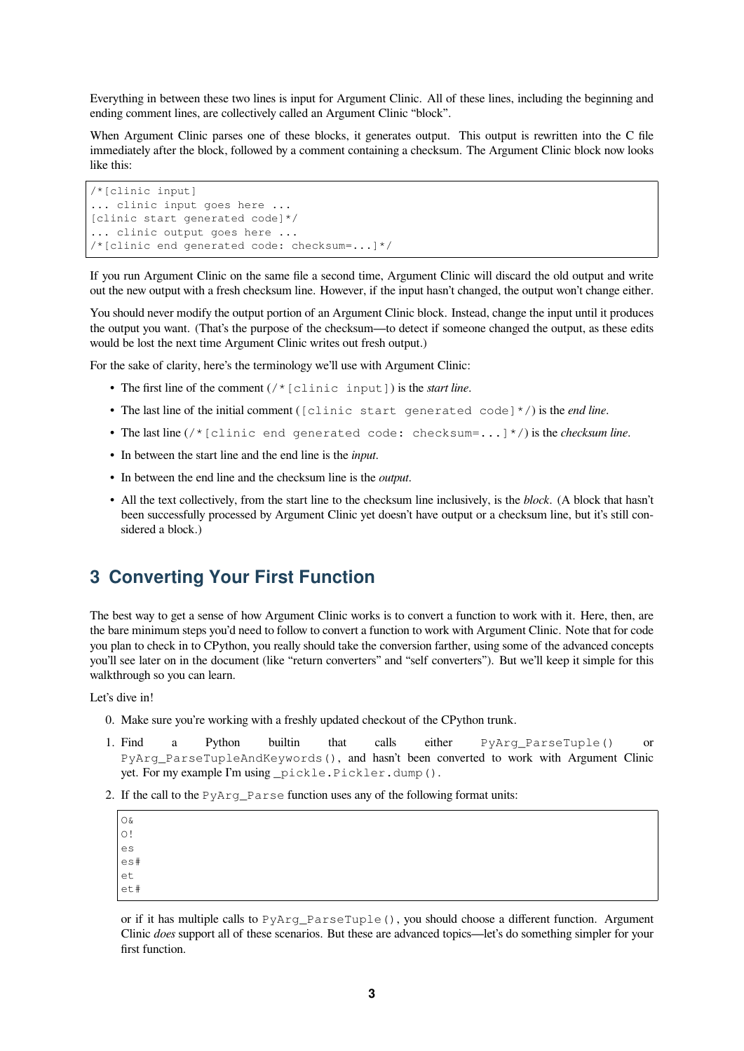Everything in between these two lines is input for Argument Clinic. All of these lines, including the beginning and ending comment lines, are collectively called an Argument Clinic "block".

When Argument Clinic parses one of these blocks, it generates output. This output is rewritten into the C file immediately after the block, followed by a comment containing a checksum. The Argument Clinic block now looks like this:

```
/*[clinic input]
... clinic input goes here ...
[clinic start generated code]*/
... clinic output goes here ...
/*[clinic end generated code: checksum=...]*/
```
If you run Argument Clinic on the same file a second time, Argument Clinic will discard the old output and write out the new output with a fresh checksum line. However, if the input hasn't changed, the output won't change either.

You should never modify the output portion of an Argument Clinic block. Instead, change the input until it produces the output you want. (That's the purpose of the checksum—to detect if someone changed the output, as these edits would be lost the next time Argument Clinic writes out fresh output.)

For the sake of clarity, here's the terminology we'll use with Argument Clinic:

- The first line of the comment (/\*[clinic input]) is the *start line*.
- The last line of the initial comment ([clinic start generated code]\*/) is the *end line*.
- The last line (/\*[clinic end generated code: checksum=...]\*/) is the *checksum line*.
- In between the start line and the end line is the *input*.
- In between the end line and the checksum line is the *output*.
- All the text collectively, from the start line to the checksum line inclusively, is the *block*. (A block that hasn't been successfully processed by Argument Clinic yet doesn't have output or a checksum line, but it's still considered a block.)

## <span id="page-2-0"></span>**3 Converting Your First Function**

The best way to get a sense of how Argument Clinic works is to convert a function to work with it. Here, then, are the bare minimum steps you'd need to follow to convert a function to work with Argument Clinic. Note that for code you plan to check in to CPython, you really should take the conversion farther, using some of the advanced concepts you'll see later on in the document (like "return converters" and "self converters"). But we'll keep it simple for this walkthrough so you can learn.

Let's dive in!

- 0. Make sure you're working with a freshly updated checkout of the CPython trunk.
- 1. Find a Python builtin that calls either PyArg\_ParseTuple() or PyArg\_ParseTupleAndKeywords(), and hasn't been converted to work with Argument Clinic yet. For my example I'm using \_pickle.Pickler.dump().
- 2. If the call to the PyArg\_Parse function uses any of the following format units:

O& O!  $\overline{P}$ s es# et  $e^{+4}$ 

or if it has multiple calls to PyArg\_ParseTuple(), you should choose a different function. Argument Clinic *does* support all of these scenarios. But these are advanced topics—let's do something simpler for your first function.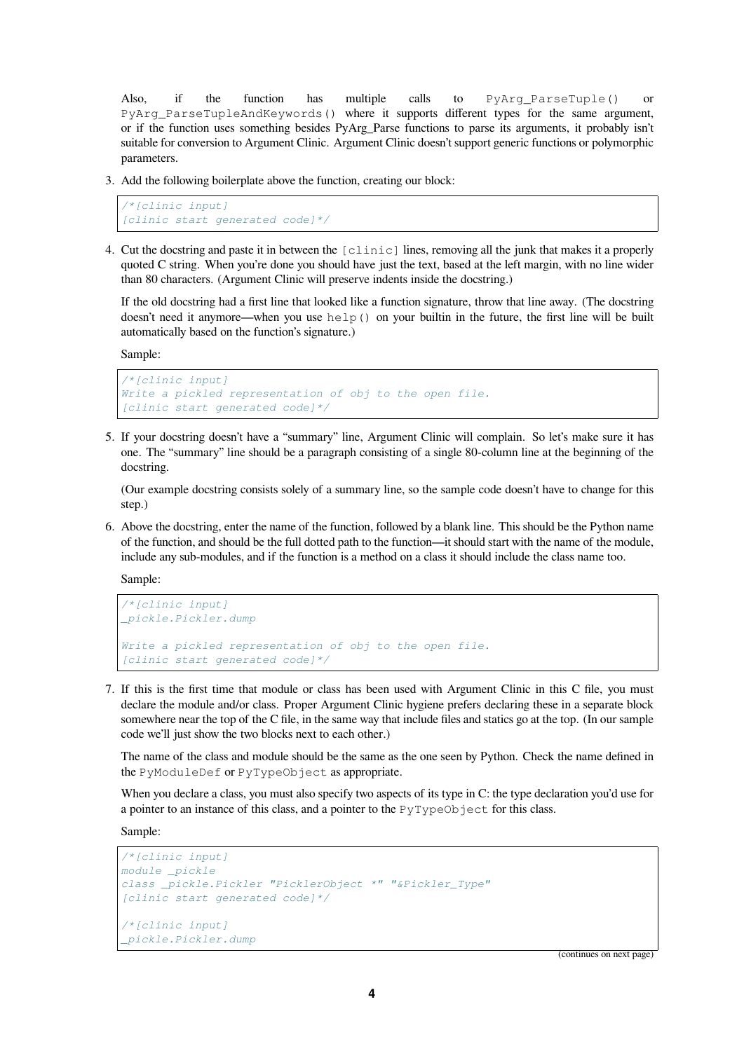Also, if the function has multiple calls to PyArg\_ParseTuple() or PyArg ParseTupleAndKeywords() where it supports different types for the same argument, or if the function uses something besides PyArg\_Parse functions to parse its arguments, it probably isn't suitable for conversion to Argument Clinic. Argument Clinic doesn't support generic functions or polymorphic parameters.

3. Add the following boilerplate above the function, creating our block:

```
/*[clinic input]
[clinic start generated code]*/
```
4. Cut the docstring and paste it in between the [clinic] lines, removing all the junk that makes it a properly quoted C string. When you're done you should have just the text, based at the left margin, with no line wider than 80 characters. (Argument Clinic will preserve indents inside the docstring.)

If the old docstring had a first line that looked like a function signature, throw that line away. (The docstring doesn't need it anymore—when you use help() on your builtin in the future, the first line will be built automatically based on the function's signature.)

Sample:

```
/*[clinic input]
Write a pickled representation of obj to the open file.
[clinic start generated code]*/
```
5. If your docstring doesn't have a "summary" line, Argument Clinic will complain. So let's make sure it has one. The "summary" line should be a paragraph consisting of a single 80-column line at the beginning of the docstring.

(Our example docstring consists solely of a summary line, so the sample code doesn't have to change for this step.)

6. Above the docstring, enter the name of the function, followed by a blank line. This should be the Python name of the function, and should be the full dotted path to the function—it should start with the name of the module, include any sub-modules, and if the function is a method on a class it should include the class name too.

Sample:

```
/*[clinic input]
_pickle.Pickler.dump
Write a pickled representation of obj to the open file.
[clinic start generated code]*/
```
7. If this is the first time that module or class has been used with Argument Clinic in this C file, you must declare the module and/or class. Proper Argument Clinic hygiene prefers declaring these in a separate block somewhere near the top of the C file, in the same way that include files and statics go at the top. (In our sample code we'll just show the two blocks next to each other.)

The name of the class and module should be the same as the one seen by Python. Check the name defined in the PyModuleDef or PyTypeObject as appropriate.

When you declare a class, you must also specify two aspects of its type in C: the type declaration you'd use for a pointer to an instance of this class, and a pointer to the  $PyTypeObject$  for this class.

Sample:

```
/*[clinic input]
module _pickle
class _pickle.Pickler "PicklerObject *" "&Pickler_Type"
[clinic start generated code]*/
/*[clinic input]
_pickle.Pickler.dump
```
(continues on next page)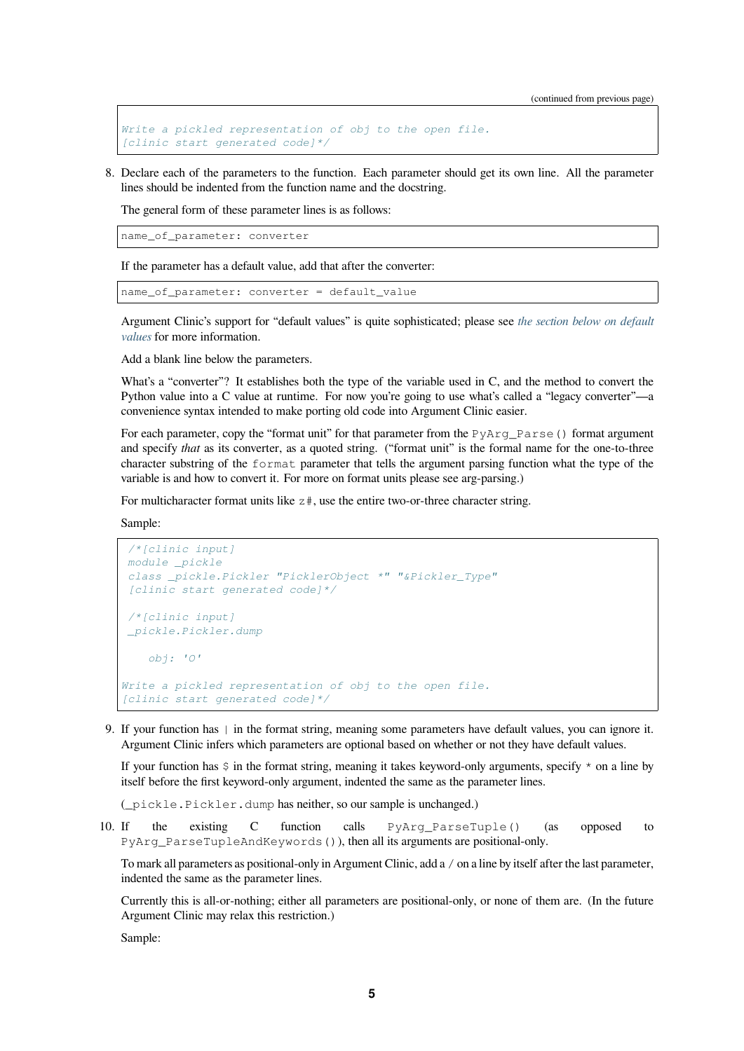```
Write a pickled representation of obj to the open file.
[clinic start generated code]*/
```
8. Declare each of the parameters to the function. Each parameter should get its own line. All the parameter lines should be indented from the function name and the docstring.

The general form of these parameter lines is as follows:

name\_of\_parameter: converter

If the parameter has a default value, add that after the converter:

name\_of\_parameter: converter = default\_value

Argument Clinic's support for "default values" is quite sophisticated; please see *the section below on default values* for more information.

Add a blank line below the parameters.

What's a "converter"? It establishes both the type of the variable used in C, an[d the method to convert the](#page-13-0) [Python](#page-13-0) value into a C value at runtime. For now you're going to use what's called a "legacy converter"—a convenience syntax intended to make porting old code into Argument Clinic easier.

For each parameter, copy the "format unit" for that parameter from the PyArg\_Parse() format argument and specify *that* as its converter, as a quoted string. ("format unit" is the formal name for the one-to-three character substring of the format parameter that tells the argument parsing function what the type of the variable is and how to convert it. For more on format units please see arg-parsing.)

For multicharacter format units like  $z$ #, use the entire two-or-three character string.

Sample:

```
/*[clinic input]
 module _pickle
 class _pickle.Pickler "PicklerObject *" "&Pickler_Type"
 [clinic start generated code]*/
 /*[clinic input]
 _pickle.Pickler.dump
    obj: 'O'
Write a pickled representation of obj to the open file.
[clinic start generated code]*/
```
9. If your function has | in the format string, meaning some parameters have default values, you can ignore it. Argument Clinic infers which parameters are optional based on whether or not they have default values.

If your function has  $\frac{1}{2}$  in the format string, meaning it takes keyword-only arguments, specify  $\star$  on a line by itself before the first keyword-only argument, indented the same as the parameter lines.

(\_pickle.Pickler.dump has neither, so our sample is unchanged.)

10. If the existing C function calls PyArg\_ParseTuple() (as opposed to PyArg\_ParseTupleAndKeywords()), then all its arguments are positional-only.

To mark all parameters as positional-only in Argument Clinic, add a / on a line by itself after the last parameter, indented the same as the parameter lines.

Currently this is all-or-nothing; either all parameters are positional-only, or none of them are. (In the future Argument Clinic may relax this restriction.)

Sample: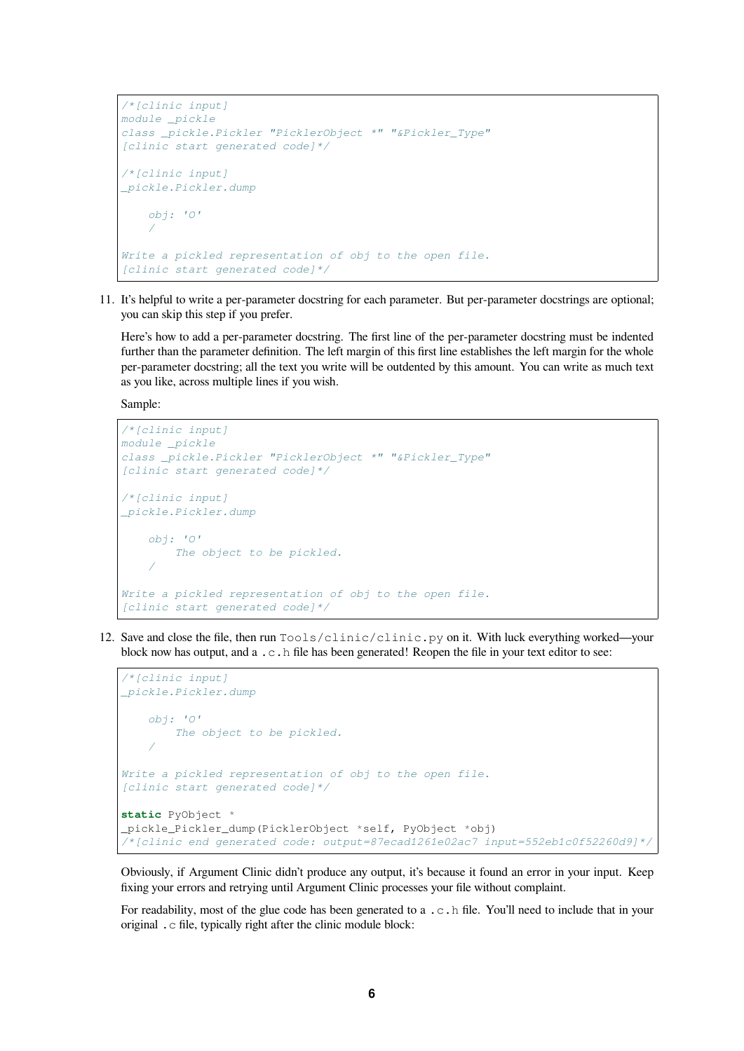```
/*[clinic input]
module _pickle
class _pickle.Pickler "PicklerObject *" "&Pickler_Type"
[clinic start generated code]*/
/*[clinic input]
_pickle.Pickler.dump
    obj: 'O'
    /
Write a pickled representation of obj to the open file.
[clinic start generated code]*/
```
11. It's helpful to write a per-parameter docstring for each parameter. But per-parameter docstrings are optional; you can skip this step if you prefer.

Here's how to add a per-parameter docstring. The first line of the per-parameter docstring must be indented further than the parameter definition. The left margin of this first line establishes the left margin for the whole per-parameter docstring; all the text you write will be outdented by this amount. You can write as much text as you like, across multiple lines if you wish.

Sample:

```
/*[clinic input]
module _pickle
class _pickle.Pickler "PicklerObject *" "&Pickler_Type"
[clinic start generated code]*/
/*[clinic input]
_pickle.Pickler.dump
    obj: 'O'
        The object to be pickled.
    /
Write a pickled representation of obj to the open file.
[clinic start generated code]*/
```
12. Save and close the file, then run Tools/clinic/clinic.py on it. With luck everything worked—your block now has output, and a . c. h file has been generated! Reopen the file in your text editor to see:

```
/*[clinic input]
_pickle.Pickler.dump
    obj: 'O'
        The object to be pickled.
    /
Write a pickled representation of obj to the open file.
[clinic start generated code]*/
static PyObject *
_pickle_Pickler_dump(PicklerObject *self, PyObject *obj)
/*[clinic end generated code: output=87ecad1261e02ac7 input=552eb1c0f52260d9]*/
```
Obviously, if Argument Clinic didn't produce any output, it's because it found an error in your input. Keep fixing your errors and retrying until Argument Clinic processes your file without complaint.

For readability, most of the glue code has been generated to a . c. h file. You'll need to include that in your original .c file, typically right after the clinic module block: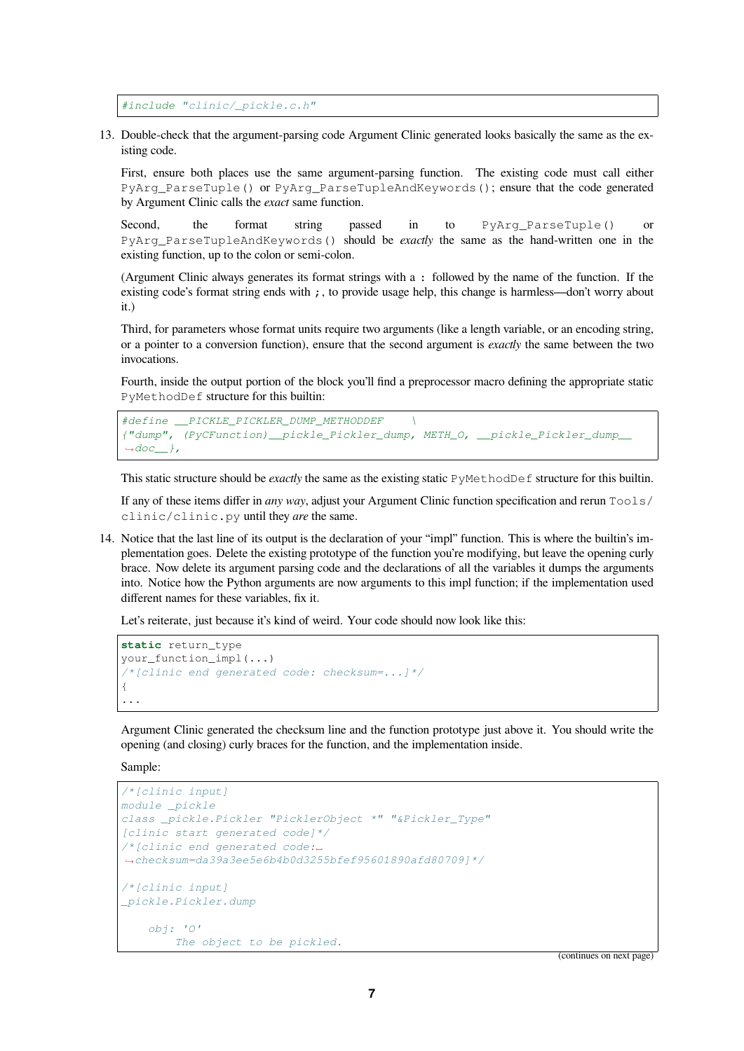*#include "clinic/\_pickle.c.h"*

13. Double-check that the argument-parsing code Argument Clinic generated looks basically the same as the existing code.

First, ensure both places use the same argument-parsing function. The existing code must call either PyArg\_ParseTuple() or PyArg\_ParseTupleAndKeywords(); ensure that the code generated by Argument Clinic calls the *exact* same function.

Second, the format string passed in to PyArg\_ParseTuple() or PyArg\_ParseTupleAndKeywords() should be *exactly* the same as the hand-written one in the existing function, up to the colon or semi-colon.

(Argument Clinic always generates its format strings with a : followed by the name of the function. If the existing code's format string ends with ;, to provide usage help, this change is harmless—don't worry about it.)

Third, for parameters whose format units require two arguments (like a length variable, or an encoding string, or a pointer to a conversion function), ensure that the second argument is *exactly* the same between the two invocations.

Fourth, inside the output portion of the block you'll find a preprocessor macro defining the appropriate static PyMethodDef structure for this builtin:

```
#define __PICKLE_PICKLER_DUMP_METHODDEF \
{"dump", (PyCFunction)__pickle_Pickler_dump, METH_O, __pickle_Pickler_dump__
,→doc__},
```
This static structure should be *exactly* the same as the existing static PyMethodDef structure for this builtin.

If any of these items differ in *any way*, adjust your Argument Clinic function specification and rerun Tools/ clinic/clinic.py until they *are* the same.

14. Notice that the last line of its output is the declaration of your "impl" function. This is where the builtin's implementation goes. Delete the existing prototype of the function you're modifying, but leave the opening curly brace. Now delete its argument parsing code and the declarations of all the variables it dumps the arguments into. Notice how the Python arguments are now arguments to this impl function; if the implementation used different names for these variables, fix it.

Let's reiterate, just because it's kind of weird. Your code should now look like this:

```
static return type
your_function_impl(...)
/*[clinic end generated code: checksum=...]*/
{
...
```
Argument Clinic generated the checksum line and the function prototype just above it. You should write the opening (and closing) curly braces for the function, and the implementation inside.

Sample:

```
/*[clinic input]
module _pickle
class _pickle.Pickler "PicklerObject *" "&Pickler_Type"
[clinic start generated code]*/
/*[clinic end generated code:␣
,→checksum=da39a3ee5e6b4b0d3255bfef95601890afd80709]*/
/*[clinic input]
_pickle.Pickler.dump
    obj: 'O'
        The object to be pickled.
```
(continues on next page)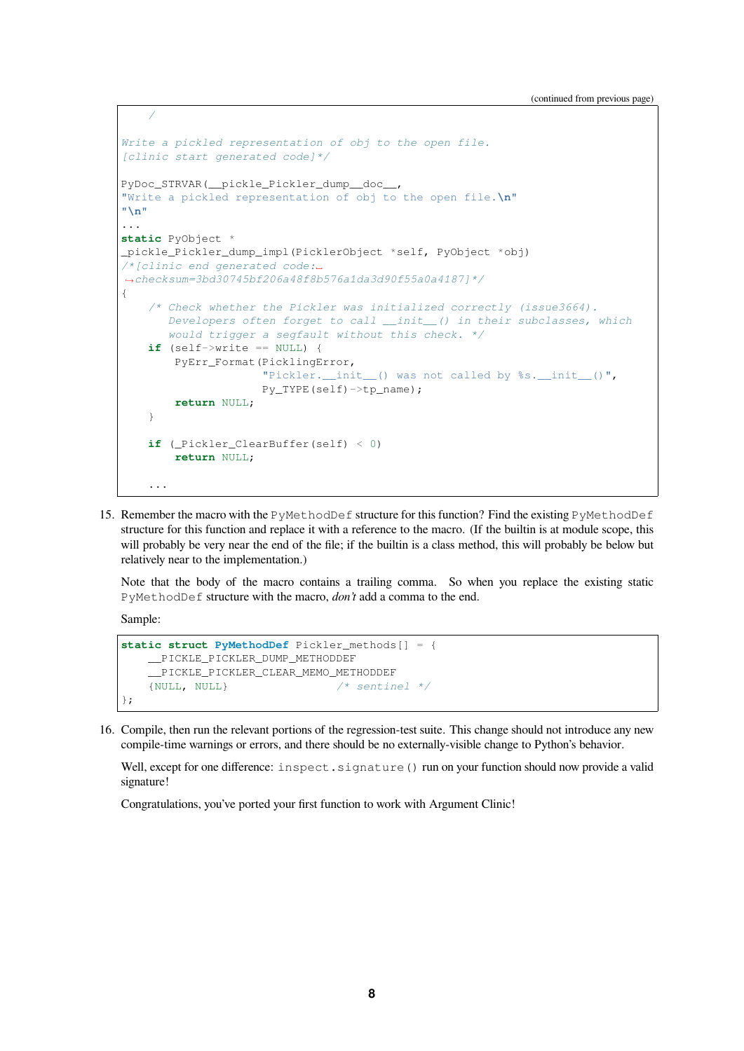(continued from previous page)

```
/
Write a pickled representation of obj to the open file.
[clinic start generated code]*/
PyDoc_STRVAR(__pickle_Pickler_dump__doc__,
"Write a pickled representation of obj to the open file.\n"
"\n"
...
static PyObject *
_pickle_Pickler_dump_impl(PicklerObject *self, PyObject *obj)
/*[clinic end generated code:␣
,→checksum=3bd30745bf206a48f8b576a1da3d90f55a0a4187]*/
{
    /* Check whether the Pickler was initialized correctly (issue3664).
       Developers often forget to call __init__() in their subclasses, which
       would trigger a segfault without this check. */
   if (self->write == NULL) {
       PyErr_Format(PicklingError,
                     "Pickler.__init__() was not called by %s.__init__()",
                     Py_TYPE(self)->tp_name);
        return NULL;
    }
    if (_Pickler_ClearBuffer(self) < 0)
        return NULL;
    ...
```
15. Remember the macro with the PyMethodDef structure for this function? Find the existing PyMethodDef structure for this function and replace it with a reference to the macro. (If the builtin is at module scope, this will probably be very near the end of the file; if the builtin is a class method, this will probably be below but relatively near to the implementation.)

Note that the body of the macro contains a trailing comma. So when you replace the existing static PyMethodDef structure with the macro, *don't* add a comma to the end.

Sample:

```
static struct PyMethodDef Pickler_methods[] = {
   __PICKLE_PICKLER_DUMP_METHODDEF
    __PICKLE_PICKLER_CLEAR_MEMO_METHODDEF
   {NULL, NULL} /* sentinel */
};
```
16. Compile, then run the relevant portions of the regression-test suite. This change should not introduce any new compile-time warnings or errors, and there should be no externally-visible change to Python's behavior.

Well, except for one difference: inspect.signature() run on your function should now provide a valid signature!

Congratulations, you've ported your first function to work with Argument Clinic!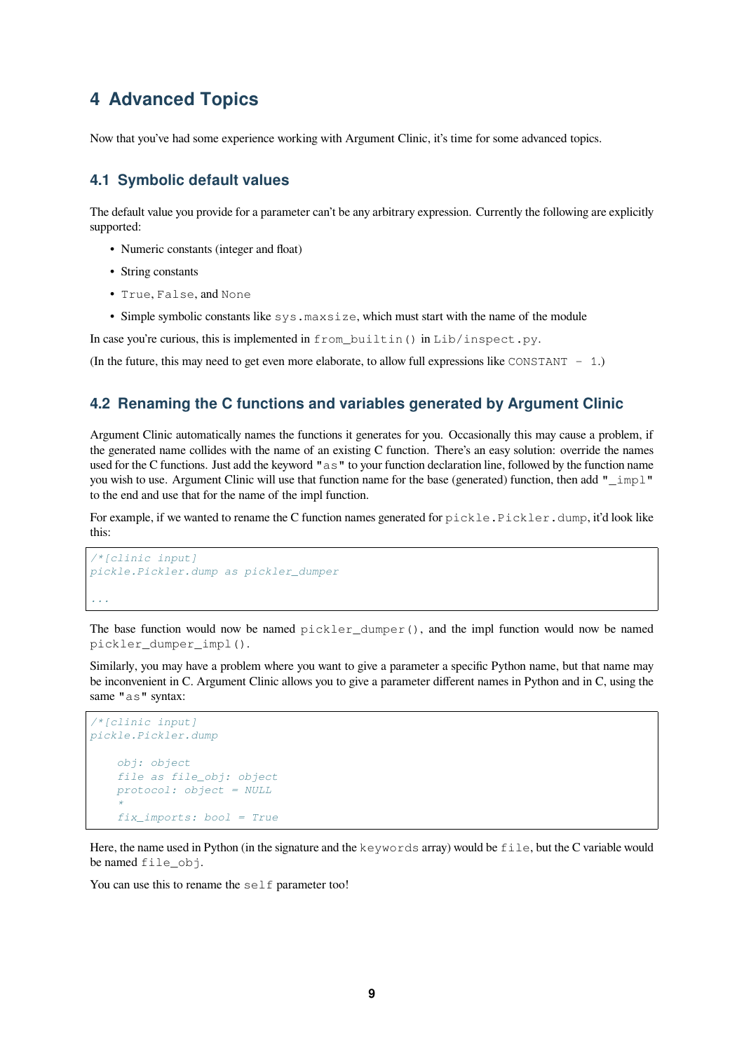## <span id="page-8-0"></span>**4 Advanced Topics**

Now that you've had some experience working with Argument Clinic, it's time for some advanced topics.

#### <span id="page-8-1"></span>**4.1 Symbolic default values**

The default value you provide for a parameter can't be any arbitrary expression. Currently the following are explicitly supported:

- Numeric constants (integer and float)
- String constants
- True, False, and None
- Simple symbolic constants like sys.maxsize, which must start with the name of the module

In case you're curious, this is implemented in from builtin() in Lib/inspect.py.

(In the future, this may need to get even more elaborate, to allow full expressions like CONSTANT  $-1$ .)

#### <span id="page-8-2"></span>**4.2 Renaming the C functions and variables generated by Argument Clinic**

Argument Clinic automatically names the functions it generates for you. Occasionally this may cause a problem, if the generated name collides with the name of an existing C function. There's an easy solution: override the names used for the C functions. Just add the keyword "as" to your function declaration line, followed by the function name you wish to use. Argument Clinic will use that function name for the base (generated) function, then add "\_impl" to the end and use that for the name of the impl function.

For example, if we wanted to rename the C function names generated for  $\text{pickle.Pickler.dimp}, \text{it'd look like}$ this:

```
/*[clinic input]
pickle.Pickler.dump as pickler_dumper
...
```
The base function would now be named  $picture$  (), and the impl function would now be named pickler\_dumper\_impl().

Similarly, you may have a problem where you want to give a parameter a specific Python name, but that name may be inconvenient in C. Argument Clinic allows you to give a parameter different names in Python and in C, using the same "as" syntax:

```
/*[clinic input]
pickle.Pickler.dump
    obj: object
    file as file_obj: object
    protocol: object = NULL
    *
    fix_imports: bool = True
```
Here, the name used in Python (in the signature and the keywords array) would be file, but the C variable would be named file\_obj.

You can use this to rename the self parameter too!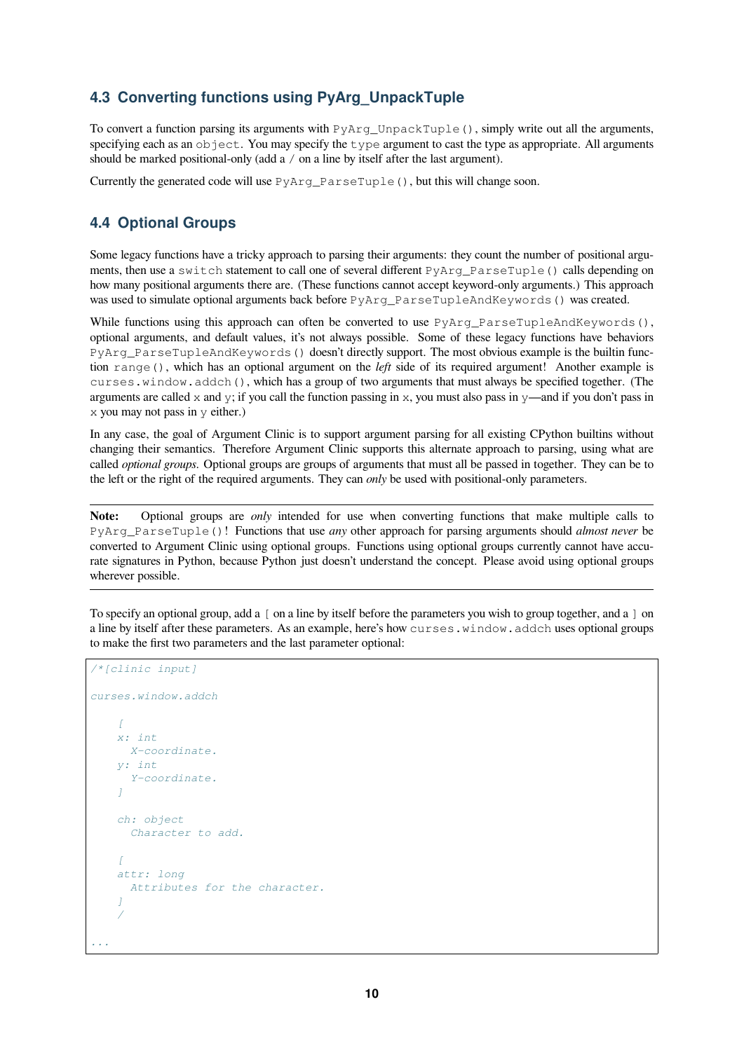### <span id="page-9-0"></span>**4.3 Converting functions using PyArg\_UnpackTuple**

To convert a function parsing its arguments with PyArg\_UnpackTuple(), simply write out all the arguments, specifying each as an object. You may specify the type argument to cast the type as appropriate. All arguments should be marked positional-only (add a / on a line by itself after the last argument).

Currently the generated code will use PyArg\_ParseTuple(), but this will change soon.

#### <span id="page-9-1"></span>**4.4 Optional Groups**

Some legacy functions have a tricky approach to parsing their arguments: they count the number of positional arguments, then use a switch statement to call one of several different PyArg\_ParseTuple() calls depending on how many positional arguments there are. (These functions cannot accept keyword-only arguments.) This approach was used to simulate optional arguments back before PyArg\_ParseTupleAndKeywords() was created.

While functions using this approach can often be converted to use  $PyArg$  ParseTupleAndKeywords(), optional arguments, and default values, it's not always possible. Some of these legacy functions have behaviors PyArg\_ParseTupleAndKeywords() doesn't directly support. The most obvious example is the builtin function range(), which has an optional argument on the *left* side of its required argument! Another example is curses.window.addch(), which has a group of two arguments that must always be specified together. (The arguments are called x and y; if you call the function passing in x, you must also pass in y—and if you don't pass in  $x$  you may not pass in  $y$  either.)

In any case, the goal of Argument Clinic is to support argument parsing for all existing CPython builtins without changing their semantics. Therefore Argument Clinic supports this alternate approach to parsing, using what are called *optional groups*. Optional groups are groups of arguments that must all be passed in together. They can be to the left or the right of the required arguments. They can *only* be used with positional-only parameters.

**Note:** Optional groups are *only* intended for use when converting functions that make multiple calls to PyArg\_ParseTuple()! Functions that use *any* other approach for parsing arguments should *almost never* be converted to Argument Clinic using optional groups. Functions using optional groups currently cannot have accurate signatures in Python, because Python just doesn't understand the concept. Please avoid using optional groups wherever possible.

To specify an optional group, add a  $\lceil$  on a line by itself before the parameters you wish to group together, and a  $\lceil$  on a line by itself after these parameters. As an example, here's how curses.window.addch uses optional groups to make the first two parameters and the last parameter optional:

```
/*[clinic input]
curses.window.addch
    [
    x: int
      X-coordinate.
    y: int
      Y-coordinate.
    ]
    ch: object
      Character to add.
    [
    attr: long
      Attributes for the character.
    ]
    /
...
```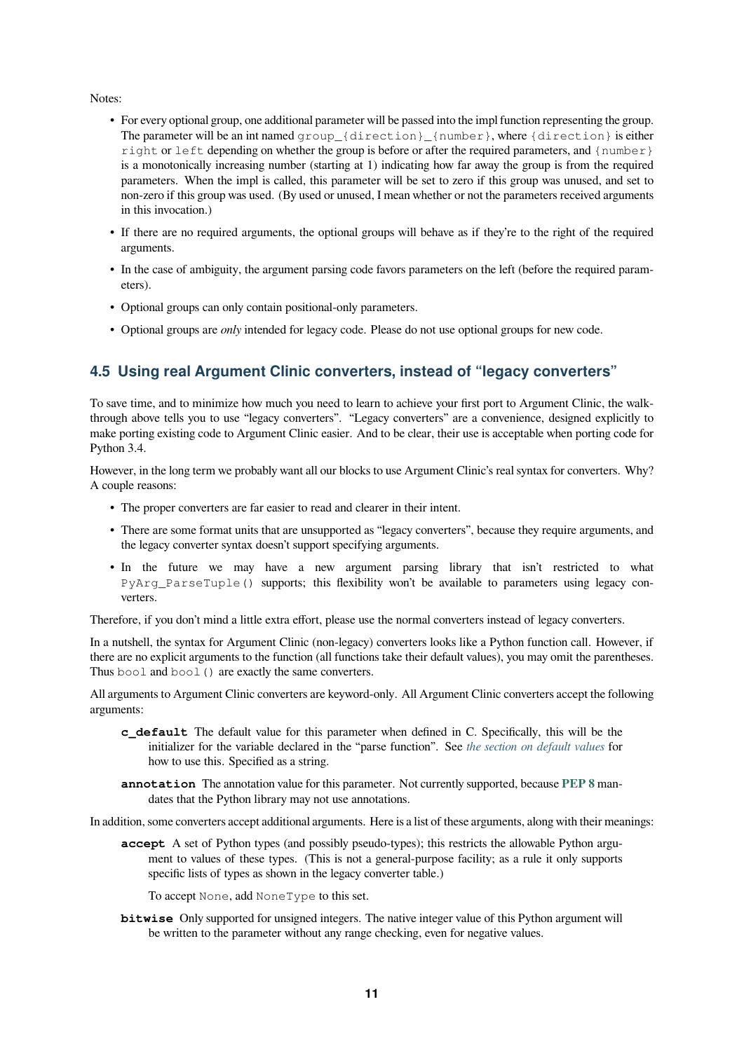Notes:

- For every optional group, one additional parameter will be passed into the impl function representing the group. The parameter will be an int named group\_{direction}\_{number}, where {direction} is either right or left depending on whether the group is before or after the required parameters, and {number} is a monotonically increasing number (starting at 1) indicating how far away the group is from the required parameters. When the impl is called, this parameter will be set to zero if this group was unused, and set to non-zero if this group was used. (By used or unused, I mean whether or not the parameters received arguments in this invocation.)
- If there are no required arguments, the optional groups will behave as if they're to the right of the required arguments.
- In the case of ambiguity, the argument parsing code favors parameters on the left (before the required parameters).
- Optional groups can only contain positional-only parameters.
- Optional groups are *only* intended for legacy code. Please do not use optional groups for new code.

#### **4.5 Using real Argument Clinic converters, instead of "legacy converters"**

<span id="page-10-0"></span>To save time, and to minimize how much you need to learn to achieve your first port to Argument Clinic, the walkthrough above tells you to use "legacy converters". "Legacy converters" are a convenience, designed explicitly to make porting existing code to Argument Clinic easier. And to be clear, their use is acceptable when porting code for Python 3.4.

However, in the long term we probably want all our blocks to use Argument Clinic's real syntax for converters. Why? A couple reasons:

- The proper converters are far easier to read and clearer in their intent.
- There are some format units that are unsupported as "legacy converters", because they require arguments, and the legacy converter syntax doesn't support specifying arguments.
- In the future we may have a new argument parsing library that isn't restricted to what PyArg\_ParseTuple() supports; this flexibility won't be available to parameters using legacy converters.

Therefore, if you don't mind a little extra effort, please use the normal converters instead of legacy converters.

In a nutshell, the syntax for Argument Clinic (non-legacy) converters looks like a Python function call. However, if there are no explicit arguments to the function (all functions take their default values), you may omit the parentheses. Thus bool and bool() are exactly the same converters.

All arguments to Argument Clinic converters are keyword-only. All Argument Clinic converters accept the following arguments:

- **c\_default** The default value for this parameter when defined in C. Specifically, this will be the initializer for the variable declared in the "parse function". See *the section on default values* for how to use this. Specified as a string.
- **annotation** The annotation value for this parameter. Not currently supported, because **PEP 8** mandates that the Python library may not use annotations.

In addition, some converters accept additional arguments. Here is a list of these arguments, along with their meanings:

**accept** A set of Python types (and possibly pseudo-types); this restricts the allowable [Python](https://www.python.org/dev/peps/pep-0008) argument to values of these types. (This is not a general-purpose facility; as a rule it only supports specific lists of types as shown in the legacy converter table.)

To accept None, add NoneType to this set.

**bitwise** Only supported for unsigned integers. The native integer value of this Python argument will be written to the parameter without any range checking, even for negative values.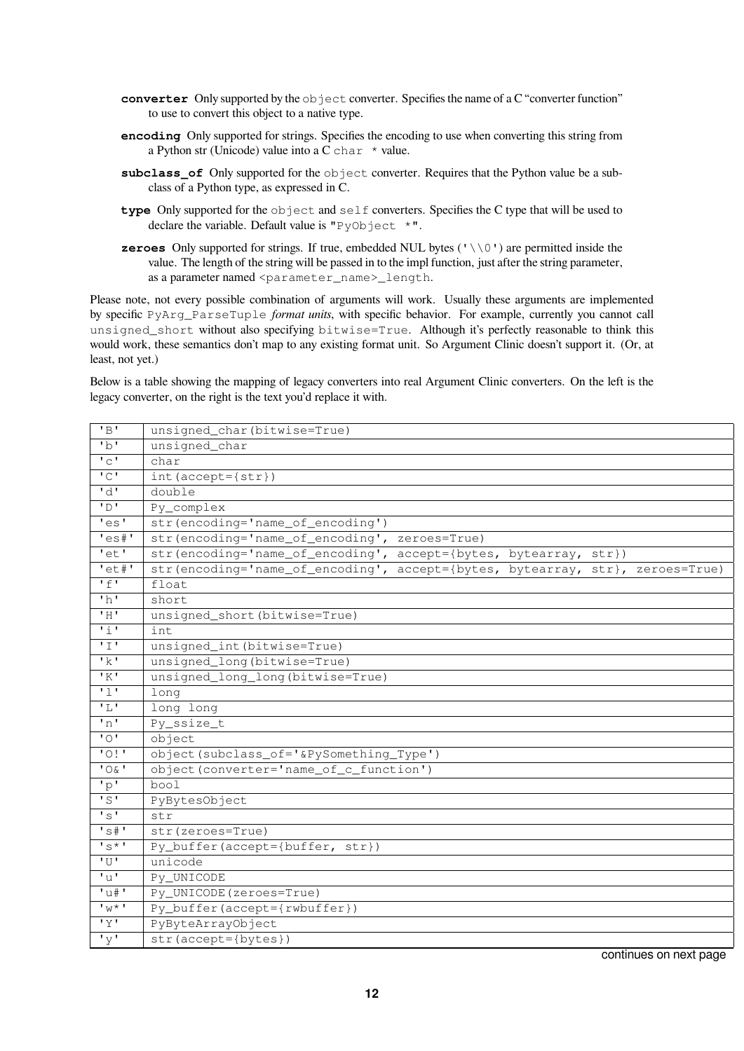- **converter** Only supported by the object converter. Specifies the name of a C "converter function" to use to convert this object to a native type.
- **encoding** Only supported for strings. Specifies the encoding to use when converting this string from a Python str (Unicode) value into a C char  $\star$  value.
- **subclass\_of** Only supported for the object converter. Requires that the Python value be a subclass of a Python type, as expressed in C.
- **type** Only supported for the object and self converters. Specifies the C type that will be used to declare the variable. Default value is "PyObject  $*$ ".
- **zeroes** Only supported for strings. If true, embedded NUL bytes  $(\cdot \setminus \setminus 0)$  are permitted inside the value. The length of the string will be passed in to the impl function, just after the string parameter, as a parameter named <parameter\_name>\_length.

Please note, not every possible combination of arguments will work. Usually these arguments are implemented by specific PyArg\_ParseTuple *format units*, with specific behavior. For example, currently you cannot call unsigned\_short without also specifying bitwise=True. Although it's perfectly reasonable to think this would work, these semantics don't map to any existing format unit. So Argument Clinic doesn't support it. (Or, at least, not yet.)

Below is a table showing the mapping of legacy converters into real Argument Clinic converters. On the left is the legacy converter, on the right is the text you'd replace it with.

| $\overline{B}$                                     | unsigned_char(bitwise=True)                                                    |
|----------------------------------------------------|--------------------------------------------------------------------------------|
| $\overline{b}$                                     | unsigned_char                                                                  |
| $^{\prime}$ C $^{\prime}$                          | char                                                                           |
| $^{\prime}$ C $^{\prime}$                          | $int (accept = {str})$                                                         |
| $\overline{d}$                                     | double                                                                         |
| $\overline{D}$                                     | Py_complex                                                                     |
| "es"                                               | str(encoding='name_of_encoding')                                               |
| $'e$ s#'                                           | str (encoding='name_of_encoding', zeroes=True)                                 |
| 'et'                                               | str(encoding='name_of_encoding', accept={bytes, bytearray, str})               |
| 'et                                                | str (encoding='name_of_encoding', accept={bytes, bytearray, str}, zeroes=True) |
| 'f'                                                | float                                                                          |
| h'                                                 | short                                                                          |
| $'$ H $'$                                          | unsigned_short(bitwise=True)                                                   |
| $\overline{\mathbf{1} + \mathbf{1}}$               | int.                                                                           |
| $\overline{\mathbf{r}_1}$                          | unsigned_int(bitwise=True)                                                     |
| $\overline{\mathbf{K}^{\prime}}$                   | unsigned_long(bitwise=True)                                                    |
| K                                                  | unsigned_long_long(bitwise=True)                                               |
| $\overline{\cdot\,\scriptstyle 1\,\scriptstyle 1}$ | long                                                                           |
| ' L'                                               | long long                                                                      |
| n <sub>n</sub>                                     | Py_ssize_t                                                                     |
| $^{\prime}$ O                                      | object                                                                         |
| $'$ 0! $'$                                         | object(subclass_of='&PySomething_Type')                                        |
| $'$ O& $'$                                         | object (converter='name_of_c_function')                                        |
| "q"                                                | bool                                                                           |
| $\mathbf{S}$                                       | PyBytesObject                                                                  |
| $\overline{\mathbf{S}^{\mathsf{T}}}$               | str                                                                            |
| $\overline{\phantom{a}1\phantom{a}}$               | str(zeroes=True)                                                               |
| $\overline{\phantom{0}}$ s <sup>*</sup>            | Py_buffer(accept={buffer, str})                                                |
| 'U'                                                | unicode                                                                        |
| $\overline{\mathbf{u}}$                            | Py_UNICODE                                                                     |
| $'u$ # $'$                                         | Py UNICODE (zeroes=True)                                                       |
| $\mathbf{v}_W$ $\star$ $\mathbf{v}$                | Py_buffer(accept={rwbuffer})                                                   |
| 'Y'                                                | PyByteArrayObject                                                              |
| 'y'                                                | str(accept={bytes})                                                            |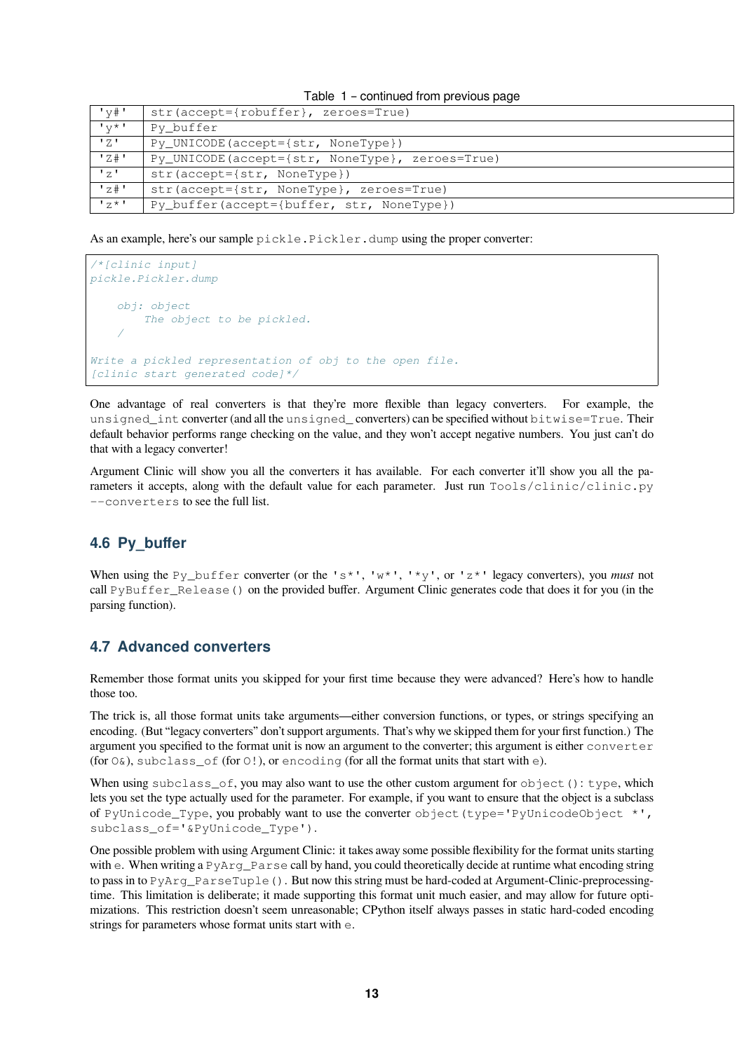| $'y$ <sup>+</sup>                              | $str(accept={robuffer}, zeroes=True)$           |
|------------------------------------------------|-------------------------------------------------|
| $\mathbf{1}_{V}$ $\star$ $\mathbf{1}$          | Py buffer                                       |
| 'Z'                                            | Py_UNICODE(accept={str, NoneType})              |
| $'Z$ # $'$                                     | Py_UNICODE(accept={str, NoneType}, zeroes=True) |
| $\mathbf{Z}$                                   | str(accept={str, NoneType})                     |
| $'z$ # $'$                                     | str(accept={str, NoneType}, zeroes=True)        |
| $\mathbf{r}$ $\mathbf{z}$ $\star$ $\mathbf{r}$ | Py_buffer(accept={buffer, str, NoneType})       |

Table 1 – continued from previous page

As an example, here's our sample pickle.Pickler.dump using the proper converter:

```
/*[clinic input]
pickle.Pickler.dump
    obj: object
        The object to be pickled.
    /
Write a pickled representation of obj to the open file.
[clinic start generated code]*/
```
One advantage of real converters is that they're more flexible than legacy converters. For example, the unsigned int converter (and all the unsigned converters) can be specified without bitwise=True. Their default behavior performs range checking on the value, and they won't accept negative numbers. You just can't do that with a legacy converter!

Argument Clinic will show you all the converters it has available. For each converter it'll show you all the parameters it accepts, along with the default value for each parameter. Just run  $T \circ \text{ols} / \text{clinic} / \text{clinic.py}$ --converters to see the full list.

#### <span id="page-12-0"></span>**4.6 Py\_buffer**

When using the Py\_buffer converter (or the 's<sup>\*'</sup>, 'w<sup>\*'</sup>, '<sup>\*</sup>y', or 'z<sup>\*'</sup> legacy converters), you *must* not call PyBuffer\_Release() on the provided buffer. Argument Clinic generates code that does it for you (in the parsing function).

#### <span id="page-12-1"></span>**4.7 Advanced converters**

Remember those format units you skipped for your first time because they were advanced? Here's how to handle those too.

The trick is, all those format units take arguments—either conversion functions, or types, or strings specifying an encoding. (But "legacy converters" don't support arguments. That's why we skipped them for your first function.) The argument you specified to the format unit is now an argument to the converter; this argument is either converter (for  $\circ$ &), subclass  $\circ$  f (for  $\circ$ !), or encoding (for all the format units that start with e).

When using subclass  $\circ$  f, you may also want to use the other custom argument for object(): type, which lets you set the type actually used for the parameter. For example, if you want to ensure that the object is a subclass of PyUnicode\_Type, you probably want to use the converter object(type='PyUnicodeObject \*', subclass of='&PyUnicode Type').

One possible problem with using Argument Clinic: it takes away some possible flexibility for the format units starting with  $e$ . When writing a PyArq Parse call by hand, you could theoretically decide at runtime what encoding string to pass in to PyArg\_ParseTuple(). But now this string must be hard-coded at Argument-Clinic-preprocessingtime. This limitation is deliberate; it made supporting this format unit much easier, and may allow for future optimizations. This restriction doesn't seem unreasonable; CPython itself always passes in static hard-coded encoding strings for parameters whose format units start with e.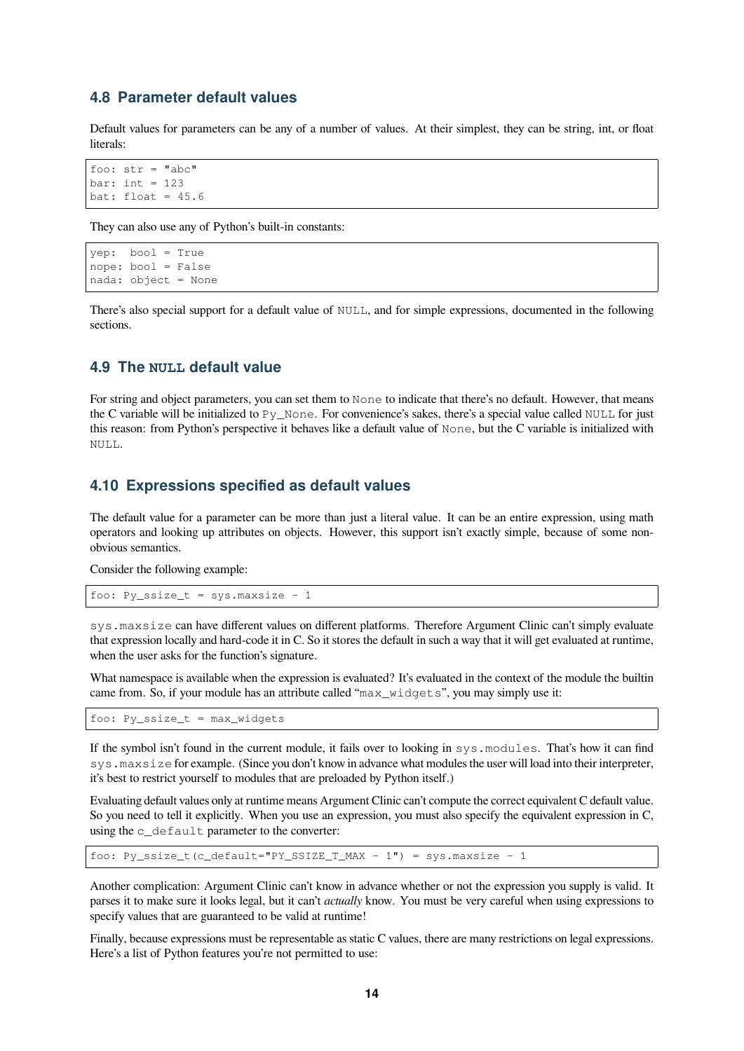#### <span id="page-13-0"></span>**4.8 Parameter default values**

Default values for parameters can be any of a number of values. At their simplest, they can be string, int, or float literals:

```
foo: str = "abc"bar: int = 123bat: float = 45.6
```
They can also use any of Python's built-in constants:

```
yep: bool = True
nope: bool = False
nada: object = None
```
There's also special support for a default value of NULL, and for simple expressions, documented in the following sections.

#### <span id="page-13-1"></span>**4.9 The NULL default value**

For string and object parameters, you can set them to None to indicate that there's no default. However, that means the C variable will be initialized to Py\_None. For convenience's sakes, there's a special value called NULL for just this reason: from Python's perspective it behaves like a default value of None, but the C variable is initialized with NIIL.

#### <span id="page-13-2"></span>**4.10 Expressions specified as default values**

The default value for a parameter can be more than just a literal value. It can be an entire expression, using math operators and looking up attributes on objects. However, this support isn't exactly simple, because of some nonobvious semantics.

Consider the following example:

foo: Py ssize  $t = sys.maxsize - 1$ 

sys.maxsize can have different values on different platforms. Therefore Argument Clinic can't simply evaluate that expression locally and hard-code it in C. So it stores the default in such a way that it will get evaluated at runtime, when the user asks for the function's signature.

What namespace is available when the expression is evaluated? It's evaluated in the context of the module the builtin came from. So, if your module has an attribute called "max\_widgets", you may simply use it:

foo: Py\_ssize\_t = max\_widgets

If the symbol isn't found in the current module, it fails over to looking in sys.modules. That's how it can find sys.maxsize for example. (Since you don't know in advance what modules the user will load into their interpreter, it's best to restrict yourself to modules that are preloaded by Python itself.)

Evaluating default values only at runtime means Argument Clinic can't compute the correct equivalent C default value. So you need to tell it explicitly. When you use an expression, you must also specify the equivalent expression in C, using the c\_default parameter to the converter:

foo: Py\_ssize\_t(c\_default="PY\_SSIZE\_T\_MAX - 1") = sys.maxsize - 1

Another complication: Argument Clinic can't know in advance whether or not the expression you supply is valid. It parses it to make sure it looks legal, but it can't *actually* know. You must be very careful when using expressions to specify values that are guaranteed to be valid at runtime!

Finally, because expressions must be representable as static C values, there are many restrictions on legal expressions. Here's a list of Python features you're not permitted to use: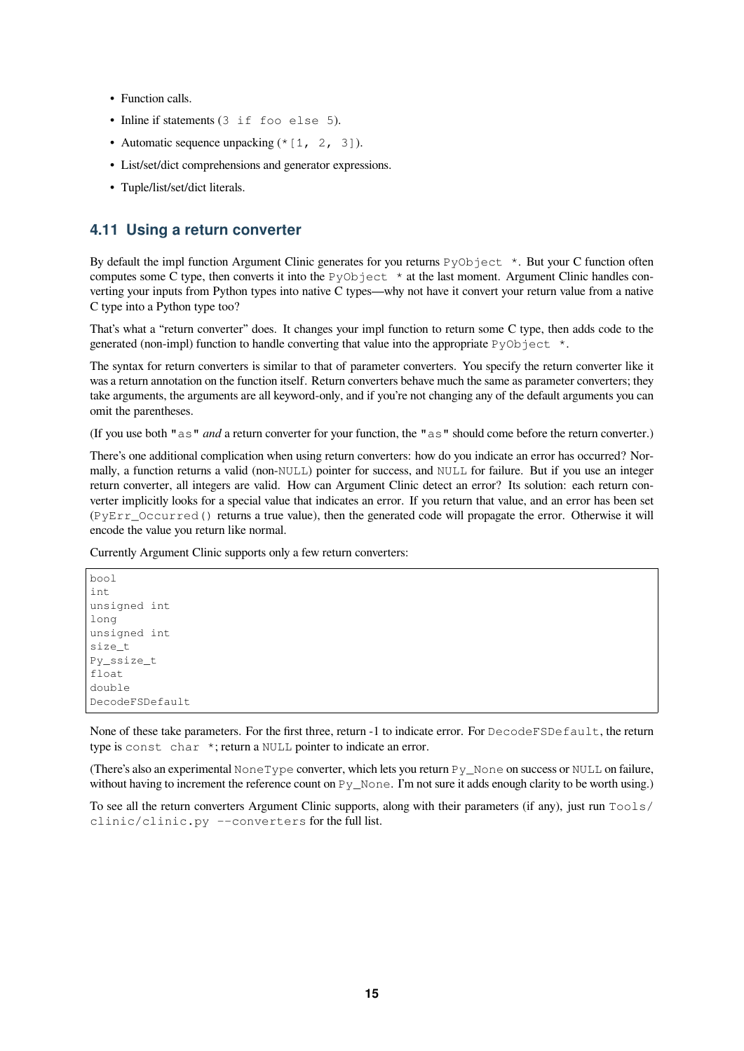- Function calls.
- Inline if statements (3 if foo else 5).
- Automatic sequence unpacking  $(* [1, 2, 3]).$
- List/set/dict comprehensions and generator expressions.
- Tuple/list/set/dict literals.

#### <span id="page-14-0"></span>**4.11 Using a return converter**

By default the impl function Argument Clinic generates for you returns PyObject  $*$ . But your C function often computes some C type, then converts it into the PyObject  $*$  at the last moment. Argument Clinic handles converting your inputs from Python types into native C types—why not have it convert your return value from a native C type into a Python type too?

That's what a "return converter" does. It changes your impl function to return some C type, then adds code to the generated (non-impl) function to handle converting that value into the appropriate PyObject  $*$ .

The syntax for return converters is similar to that of parameter converters. You specify the return converter like it was a return annotation on the function itself. Return converters behave much the same as parameter converters; they take arguments, the arguments are all keyword-only, and if you're not changing any of the default arguments you can omit the parentheses.

(If you use both "as" *and* a return converter for your function, the "as" should come before the return converter.)

There's one additional complication when using return converters: how do you indicate an error has occurred? Normally, a function returns a valid (non-NULL) pointer for success, and NULL for failure. But if you use an integer return converter, all integers are valid. How can Argument Clinic detect an error? Its solution: each return converter implicitly looks for a special value that indicates an error. If you return that value, and an error has been set (PyErr\_Occurred() returns a true value), then the generated code will propagate the error. Otherwise it will encode the value you return like normal.

Currently Argument Clinic supports only a few return converters:

bool int unsigned int long unsigned int size\_t Py\_ssize\_t float double DecodeFSDefault

None of these take parameters. For the first three, return -1 to indicate error. For  $DecodeFSDefault$ , the return type is const char \*; return a NULL pointer to indicate an error.

(There's also an experimental NoneType converter, which lets you return Py\_None on success or NULL on failure, without having to increment the reference count on Py\_None. I'm not sure it adds enough clarity to be worth using.)

To see all the return converters Argument Clinic supports, along with their parameters (if any), just run Tools/ clinic/clinic.py --converters for the full list.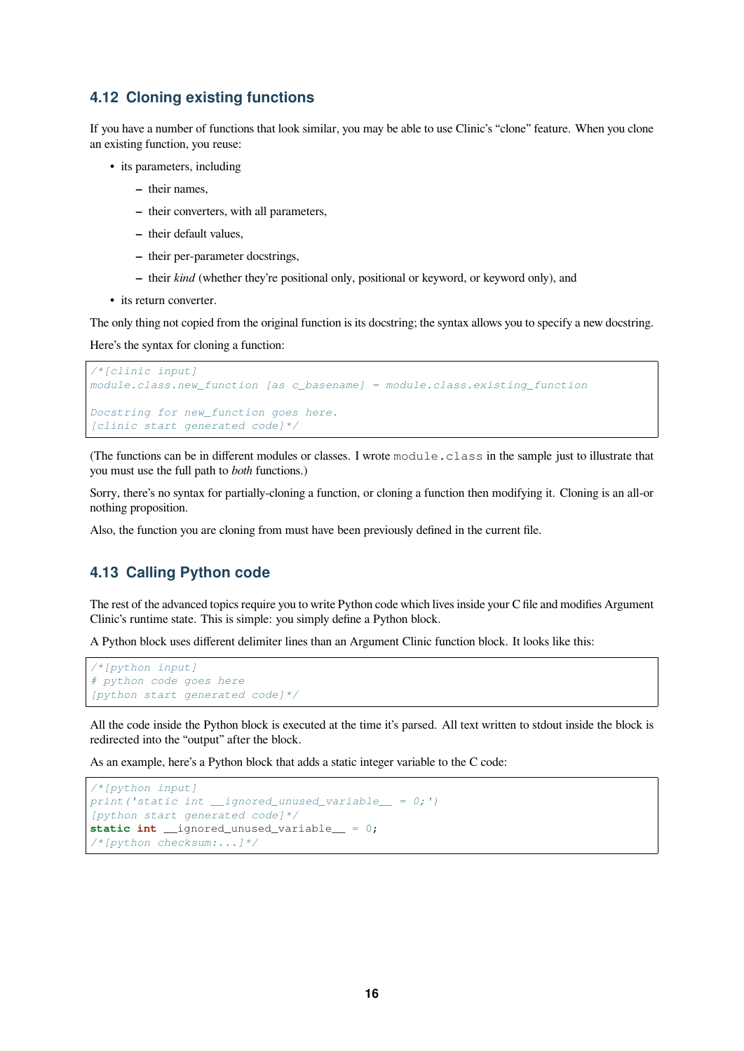#### <span id="page-15-0"></span>**4.12 Cloning existing functions**

If you have a number of functions that look similar, you may be able to use Clinic's "clone" feature. When you clone an existing function, you reuse:

- its parameters, including
	- **–** their names,
	- **–** their converters, with all parameters,
	- **–** their default values,
	- **–** their per-parameter docstrings,
	- **–** their *kind* (whether they're positional only, positional or keyword, or keyword only), and
- its return converter.

The only thing not copied from the original function is its docstring; the syntax allows you to specify a new docstring.

Here's the syntax for cloning a function:

```
/*[clinic input]
module.class.new_function [as c_basename] = module.class.existing_function
Docstring for new_function goes here.
[clinic start generated code]*/
```
(The functions can be in different modules or classes. I wrote module.class in the sample just to illustrate that you must use the full path to *both* functions.)

Sorry, there's no syntax for partially-cloning a function, or cloning a function then modifying it. Cloning is an all-or nothing proposition.

Also, the function you are cloning from must have been previously defined in the current file.

#### <span id="page-15-1"></span>**4.13 Calling Python code**

The rest of the advanced topics require you to write Python code which lives inside your C file and modifies Argument Clinic's runtime state. This is simple: you simply define a Python block.

A Python block uses different delimiter lines than an Argument Clinic function block. It looks like this:

```
/*[python input]
# python code goes here
[python start generated code]*/
```
All the code inside the Python block is executed at the time it's parsed. All text written to stdout inside the block is redirected into the "output" after the block.

As an example, here's a Python block that adds a static integer variable to the C code:

```
/*[python input]
print('static int __ignored_unused_variable__ = 0;')
[python start generated code]*/
static int __ignored_unused_variable__ = 0;
/*[python checksum:...]*/
```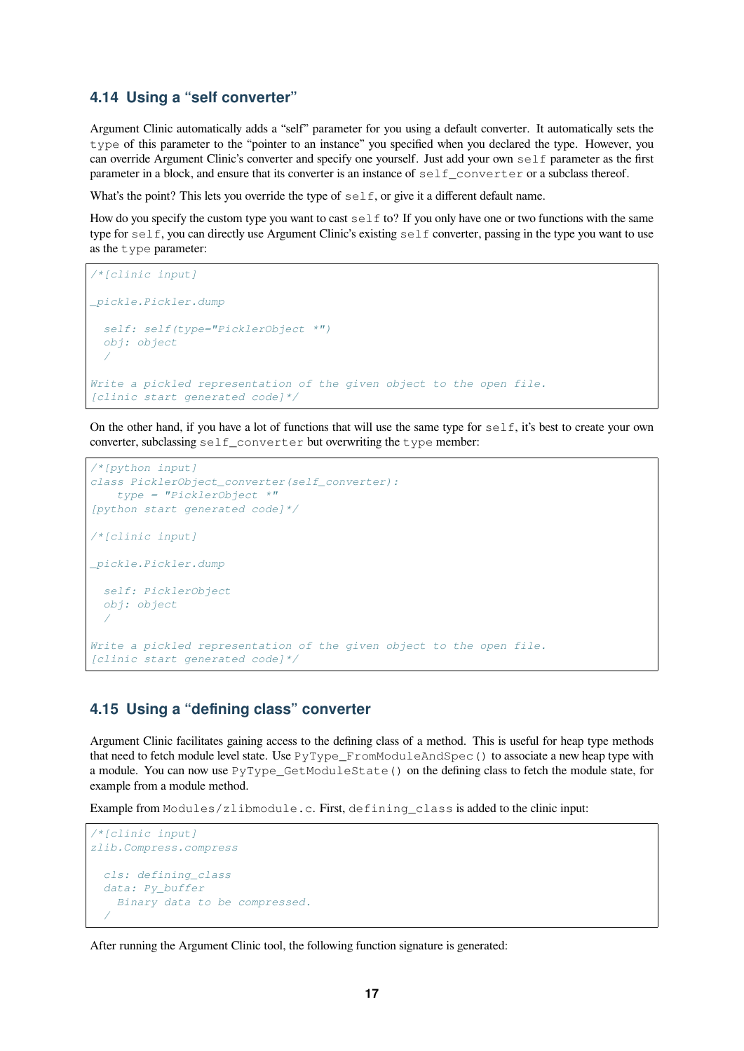#### <span id="page-16-0"></span>**4.14 Using a "self converter"**

Argument Clinic automatically adds a "self" parameter for you using a default converter. It automatically sets the type of this parameter to the "pointer to an instance" you specified when you declared the type. However, you can override Argument Clinic's converter and specify one yourself. Just add your own self parameter as the first parameter in a block, and ensure that its converter is an instance of self\_converter or a subclass thereof.

What's the point? This lets you override the type of  $\text{self}$ , or give it a different default name.

How do you specify the custom type you want to cast  $\leq \text{if }$  to? If you only have one or two functions with the same type for self, you can directly use Argument Clinic's existing self converter, passing in the type you want to use as the type parameter:

```
/*[clinic input]
_pickle.Pickler.dump
  self: self(type="PicklerObject *")
 obj: object
  /
Write a pickled representation of the given object to the open file.
[clinic start generated code]*/
```
On the other hand, if you have a lot of functions that will use the same type for  $\text{self}, \text{it's best to create your own}$ converter, subclassing self\_converter but overwriting the type member:

```
/*[python input]
class PicklerObject_converter(self_converter):
    type = "PicklerObject *"
[python start generated code]*/
/*[clinic input]
_pickle.Pickler.dump
 self: PicklerObject
 obj: object
  /
Write a pickled representation of the given object to the open file.
[clinic start generated code]*/
```
#### <span id="page-16-1"></span>**4.15 Using a "defining class" converter**

Argument Clinic facilitates gaining access to the defining class of a method. This is useful for heap type methods that need to fetch module level state. Use PyType\_FromModuleAndSpec() to associate a new heap type with a module. You can now use PyType\_GetModuleState() on the defining class to fetch the module state, for example from a module method.

Example from Modules/zlibmodule.c. First, defining\_class is added to the clinic input:

```
/*[clinic input]
zlib.Compress.compress
 cls: defining_class
 data: Py_buffer
    Binary data to be compressed.
  /
```
After running the Argument Clinic tool, the following function signature is generated: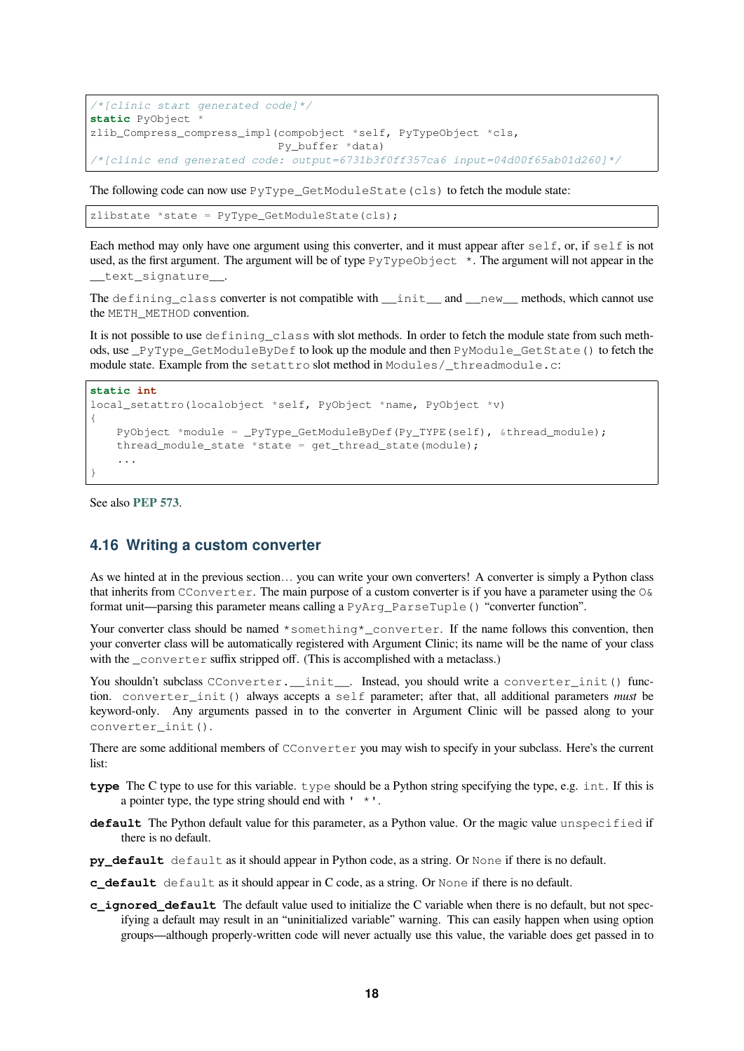```
/*[clinic start generated code]*/
static PyObject *
zlib_Compress_compress_impl(compobject *self, PyTypeObject *cls,
                            Py_buffer *data)
/*[clinic end generated code: output=6731b3f0ff357ca6 input=04d00f65ab01d260]*/
```
The following code can now use PyType\_GetModuleState(cls) to fetch the module state:

zlibstate \*state =  $PyType_GetModuleState(cls);$ 

Each method may only have one argument using this converter, and it must appear after  $self$ , or, if  $self$  is not used, as the first argument. The argument will be of type  $PyTypeObject \star$ . The argument will not appear in the \_\_text\_signature\_\_.

The defining\_class converter is not compatible with \_\_init\_\_ and \_\_new\_\_ methods, which cannot use the METH\_METHOD convention.

It is not possible to use defining\_class with slot methods. In order to fetch the module state from such methods, use \_PyType\_GetModuleByDef to look up the module and then PyModule\_GetState() to fetch the module state. Example from the setattro slot method in Modules/\_threadmodule.c:

```
static int
local_setattro(localobject *self, PyObject *name, PyObject *v)
{
    PyObject *module = _PyType_GetModuleByDef(Py_TYPE(self), &thread_module);
    thread_module_state *state = get_thread_state(module);
    ...
}
```
See also **PEP 573**.

#### **4.16 Writing a custom converter**

<span id="page-17-0"></span>As we h[inted at in](https://www.python.org/dev/peps/pep-0573) the previous section… you can write your own converters! A converter is simply a Python class that inherits from CConverter. The main purpose of a custom converter is if you have a parameter using the  $\circ \delta$ format unit—parsing this parameter means calling a PyArg\_ParseTuple() "converter function".

Your converter class should be named \*something\*\_converter. If the name follows this convention, then your converter class will be automatically registered with Argument Clinic; its name will be the name of your class with the \_converter suffix stripped off. (This is accomplished with a metaclass.)

You shouldn't subclass CConverter. \_\_init\_\_. Instead, you should write a converter\_init() function. converter\_init() always accepts a self parameter; after that, all additional parameters *must* be keyword-only. Any arguments passed in to the converter in Argument Clinic will be passed along to your converter\_init().

There are some additional members of CConverter you may wish to specify in your subclass. Here's the current list:

- **type** The C type to use for this variable. type should be a Python string specifying the type, e.g. int. If this is a pointer type, the type string should end with  $' *'.$
- **default** The Python default value for this parameter, as a Python value. Or the magic value unspecified if there is no default.
- **py\_default** default as it should appear in Python code, as a string. Or None if there is no default.
- **c\_default** default as it should appear in C code, as a string. Or None if there is no default.
- **c\_ignored\_default** The default value used to initialize the C variable when there is no default, but not specifying a default may result in an "uninitialized variable" warning. This can easily happen when using option groups—although properly-written code will never actually use this value, the variable does get passed in to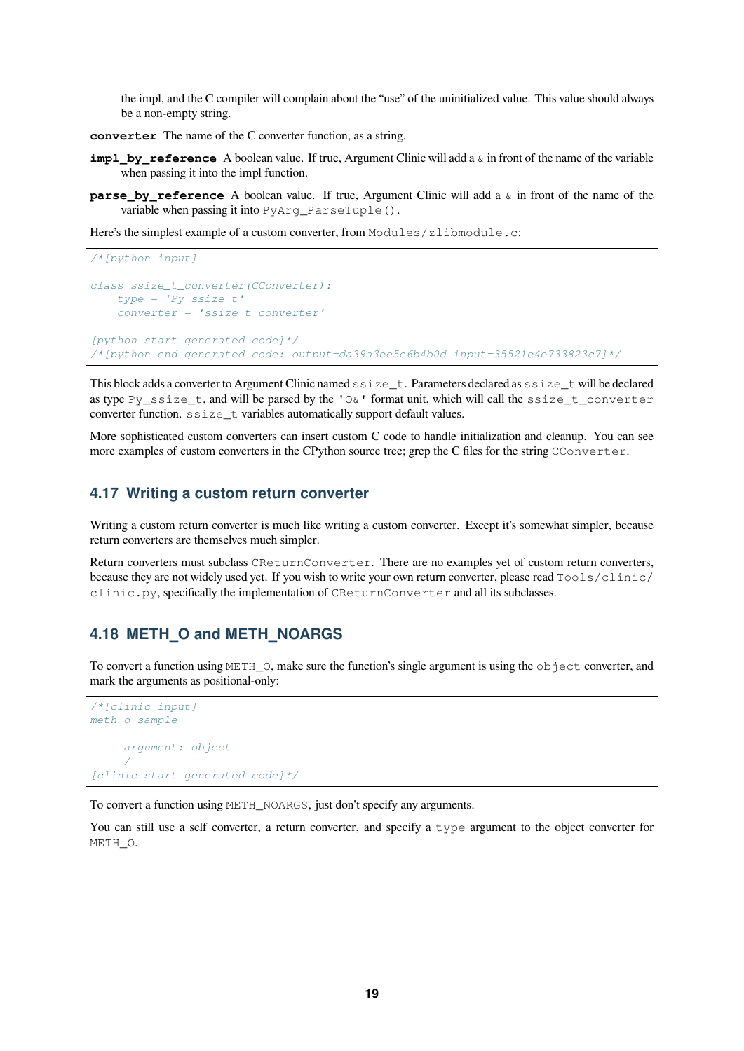the impl, and the C compiler will complain about the "use" of the uninitialized value. This value should always be a non-empty string.

**converter** The name of the C converter function, as a string.

- **impl** by reference A boolean value. If true, Argument Clinic will add a  $\&$  in front of the name of the variable when passing it into the impl function.
- **parse\_by\_reference** A boolean value. If true, Argument Clinic will add a  $\alpha$  in front of the name of the variable when passing it into PyArg\_ParseTuple().

Here's the simplest example of a custom converter, from Modules/zlibmodule.c:

```
/*[python input]
class ssize_t_converter(CConverter):
   type = 'Py_ssize_t'
   converter = 'ssize_t_converter'
[python start generated code]*/
/*[python end generated code: output=da39a3ee5e6b4b0d input=35521e4e733823c7]*/
```
This block adds a converter to Argument Clinic named ssize\_t. Parameters declared as ssize\_twill be declared as type Py\_ssize\_t, and will be parsed by the 'O&' format unit, which will call the ssize\_t\_converter converter function. ssize\_t variables automatically support default values.

More sophisticated custom converters can insert custom C code to handle initialization and cleanup. You can see more examples of custom converters in the CPython source tree; grep the C files for the string CConverter.

#### <span id="page-18-0"></span>**4.17 Writing a custom return converter**

Writing a custom return converter is much like writing a custom converter. Except it's somewhat simpler, because return converters are themselves much simpler.

Return converters must subclass CReturnConverter. There are no examples yet of custom return converters, because they are not widely used yet. If you wish to write your own return converter, please read Tools/clinic/ clinic.py, specifically the implementation of CReturnConverter and all its subclasses.

#### <span id="page-18-1"></span>**4.18 METH\_O and METH\_NOARGS**

To convert a function using METH  $\circ$ , make sure the function's single argument is using the  $\circ$ b ject converter, and mark the arguments as positional-only:

```
/*[clinic input]
meth_o_sample
     argument: object
     /
[clinic start generated code]*/
```
To convert a function using METH\_NOARGS, just don't specify any arguments.

You can still use a self converter, a return converter, and specify a type argument to the object converter for METH\_O.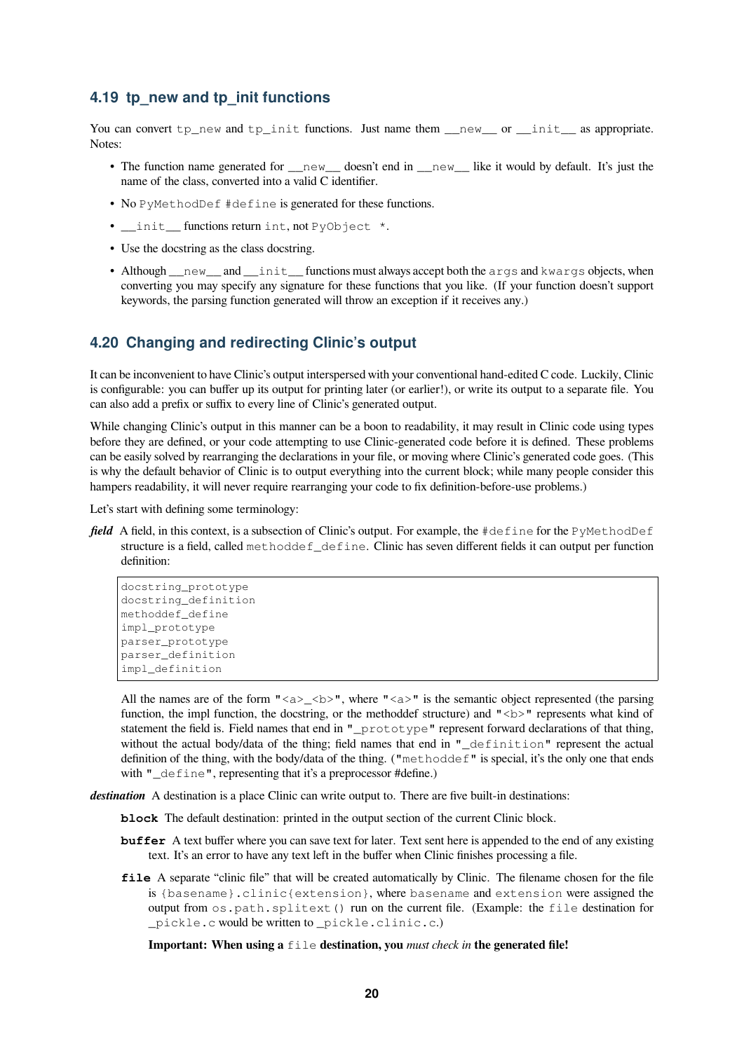#### <span id="page-19-0"></span>**4.19 tp\_new and tp\_init functions**

You can convert tp\_new and tp\_init functions. Just name them \_\_new\_\_ or \_\_init\_\_ as appropriate. Notes:

- The function name generated for \_\_new\_\_ doesn't end in \_\_new\_\_ like it would by default. It's just the name of the class, converted into a valid C identifier.
- No PyMethodDef #define is generated for these functions.
- init functions return int, not PyObject \*.
- Use the docstring as the class docstring.
- Although \_\_new\_\_ and \_\_init \_\_ functions must always accept both the args and kwargs objects, when converting you may specify any signature for these functions that you like. (If your function doesn't support keywords, the parsing function generated will throw an exception if it receives any.)

#### <span id="page-19-1"></span>**4.20 Changing and redirecting Clinic's output**

It can be inconvenient to have Clinic's output interspersed with your conventional hand-edited C code. Luckily, Clinic is configurable: you can buffer up its output for printing later (or earlier!), or write its output to a separate file. You can also add a prefix or suffix to every line of Clinic's generated output.

While changing Clinic's output in this manner can be a boon to readability, it may result in Clinic code using types before they are defined, or your code attempting to use Clinic-generated code before it is defined. These problems can be easily solved by rearranging the declarations in your file, or moving where Clinic's generated code goes. (This is why the default behavior of Clinic is to output everything into the current block; while many people consider this hampers readability, it will never require rearranging your code to fix definition-before-use problems.)

Let's start with defining some terminology:

*field* A field, in this context, is a subsection of Clinic's output. For example, the #define for the PyMethodDef structure is a field, called methoddef define. Clinic has seven different fields it can output per function definition:

```
docstring_prototype
docstring_definition
methoddef_define
impl_prototype
parser_prototype
parser_definition
impl_definition
```
All the names are of the form " $\langle a \rangle$  " $\langle b \rangle$ ", where " $\langle a \rangle$ " is the semantic object represented (the parsing function, the impl function, the docstring, or the methoddef structure) and "**" represents what kind of** statement the field is. Field names that end in "\_prototype" represent forward declarations of that thing, without the actual body/data of the thing; field names that end in "\_definition" represent the actual definition of the thing, with the body/data of the thing. ("methoddef" is special, it's the only one that ends with " define", representing that it's a preprocessor #define.)

*destination* A destination is a place Clinic can write output to. There are five built-in destinations:

**block** The default destination: printed in the output section of the current Clinic block.

- **buffer** A text buffer where you can save text for later. Text sent here is appended to the end of any existing text. It's an error to have any text left in the buffer when Clinic finishes processing a file.
- **file** A separate "clinic file" that will be created automatically by Clinic. The filename chosen for the file is {basename}.clinic{extension}, where basename and extension were assigned the output from os.path.splitext() run on the current file. (Example: the file destination for \_pickle.c would be written to \_pickle.clinic.c.)

**Important: When using a** file **destination, you** *must check in* **the generated file!**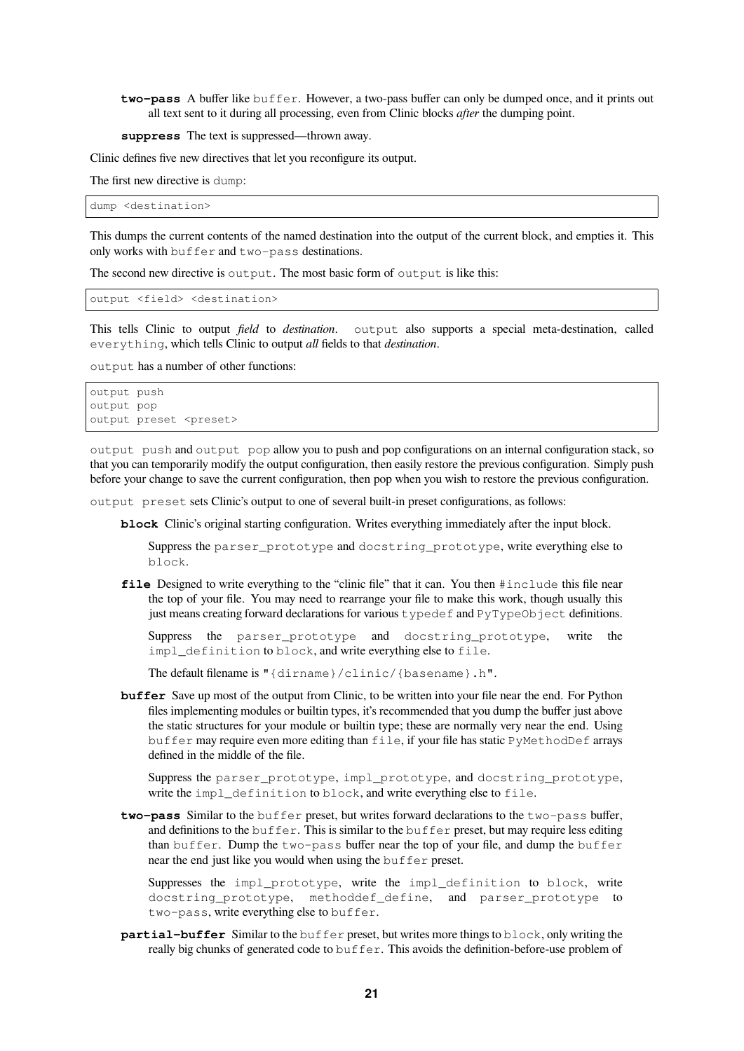**two-pass** A buffer like buffer. However, a two-pass buffer can only be dumped once, and it prints out all text sent to it during all processing, even from Clinic blocks *after* the dumping point.

**suppress** The text is suppressed—thrown away.

Clinic defines five new directives that let you reconfigure its output.

The first new directive is dump:

dump <destination>

This dumps the current contents of the named destination into the output of the current block, and empties it. This only works with buffer and two-pass destinations.

The second new directive is output. The most basic form of output is like this:

output <field> <destination>

This tells Clinic to output *field* to *destination*. output also supports a special meta-destination, called everything, which tells Clinic to output *all* fields to that *destination*.

output has a number of other functions:

```
output push
output pop
output preset <preset>
```
output push and output pop allow you to push and pop configurations on an internal configuration stack, so that you can temporarily modify the output configuration, then easily restore the previous configuration. Simply push before your change to save the current configuration, then pop when you wish to restore the previous configuration.

output preset sets Clinic's output to one of several built-in preset configurations, as follows:

**block** Clinic's original starting configuration. Writes everything immediately after the input block.

Suppress the parser prototype and docstring prototype, write everything else to block.

**file** Designed to write everything to the "clinic file" that it can. You then #include this file near the top of your file. You may need to rearrange your file to make this work, though usually this just means creating forward declarations for various  $t$  ypedef and  $P$ yTypeObject definitions.

Suppress the parser\_prototype and docstring\_prototype, write the impl definition to block, and write everything else to file.

The default filename is "{dirname}/clinic/{basename}.h".

**buffer** Save up most of the output from Clinic, to be written into your file near the end. For Python files implementing modules or builtin types, it's recommended that you dump the buffer just above the static structures for your module or builtin type; these are normally very near the end. Using buffer may require even more editing than file, if your file has static PyMethodDef arrays defined in the middle of the file.

Suppress the parser\_prototype, impl\_prototype, and docstring\_prototype, write the impl definition to block, and write everything else to file.

**two-pass** Similar to the buffer preset, but writes forward declarations to the two-pass buffer, and definitions to the buffer. This is similar to the buffer preset, but may require less editing than buffer. Dump the two-pass buffer near the top of your file, and dump the buffer near the end just like you would when using the buffer preset.

Suppresses the impl\_prototype, write the impl\_definition to block, write docstring\_prototype, methoddef\_define, and parser\_prototype to two-pass, write everything else to buffer.

**partial-buffer** Similar to the buffer preset, but writes more things to block, only writing the really big chunks of generated code to buffer. This avoids the definition-before-use problem of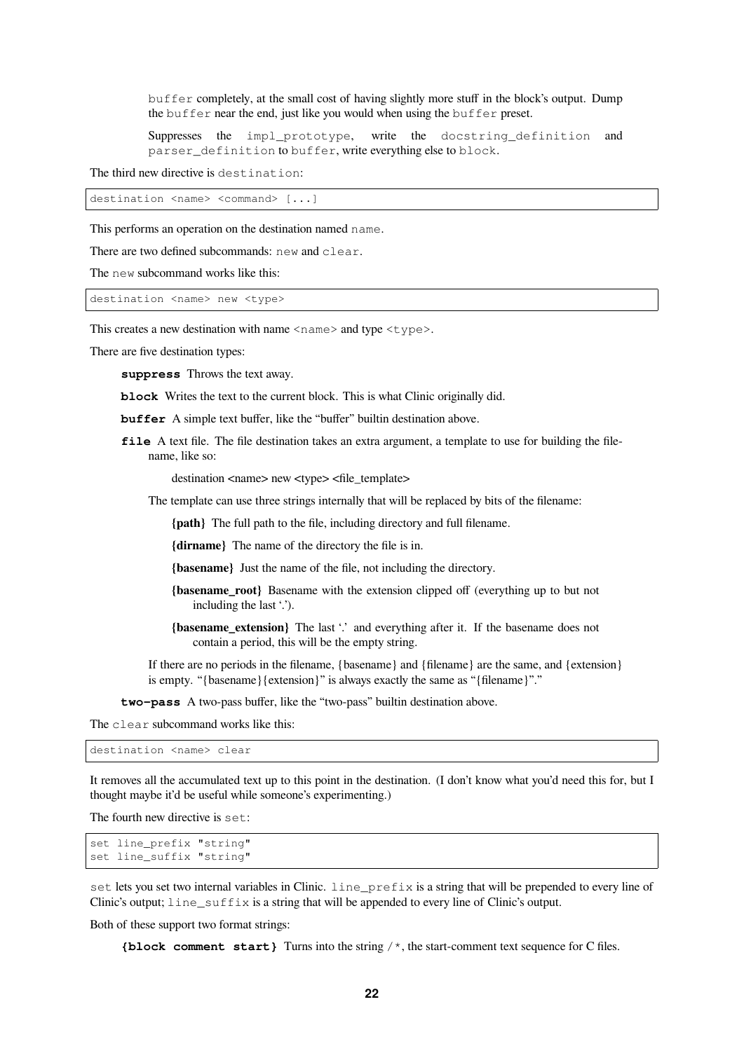buffer completely, at the small cost of having slightly more stuff in the block's output. Dump the buffer near the end, just like you would when using the buffer preset.

Suppresses the impl\_prototype, write the docstring\_definition and parser\_definition to buffer, write everything else to block.

The third new directive is destination:

destination <name> <command> [...]

This performs an operation on the destination named name.

There are two defined subcommands: new and clear.

The new subcommand works like this:

destination <name> new <type>

This creates a new destination with name  $\langle$  name  $\rangle$  and type  $\langle$  type $\rangle$ .

There are five destination types:

**suppress** Throws the text away.

**block** Writes the text to the current block. This is what Clinic originally did.

**buffer** A simple text buffer, like the "buffer" builtin destination above.

**file** A text file. The file destination takes an extra argument, a template to use for building the filename, like so:

destination <name> new <type> <file\_template>

The template can use three strings internally that will be replaced by bits of the filename:

**{path}** The full path to the file, including directory and full filename.

**{dirname}** The name of the directory the file is in.

**{basename}** Just the name of the file, not including the directory.

- **{basename\_root}** Basename with the extension clipped off (everything up to but not including the last '.').
- **{basename\_extension}** The last '.' and everything after it. If the basename does not contain a period, this will be the empty string.

If there are no periods in the filename, {basename} and {filename} are the same, and {extension} is empty. "{basename}{extension}" is always exactly the same as "{filename}"."

**two-pass** A two-pass buffer, like the "two-pass" builtin destination above.

The clear subcommand works like this:

destination <name> clear

It removes all the accumulated text up to this point in the destination. (I don't know what you'd need this for, but I thought maybe it'd be useful while someone's experimenting.)

The fourth new directive is set:

```
set line_prefix "string"
set line_suffix "string"
```
set lets you set two internal variables in Clinic. Line\_prefix is a string that will be prepended to every line of Clinic's output; line\_suffix is a string that will be appended to every line of Clinic's output.

Both of these support two format strings:

**{block comment start}** Turns into the string /\*, the start-comment text sequence for C files.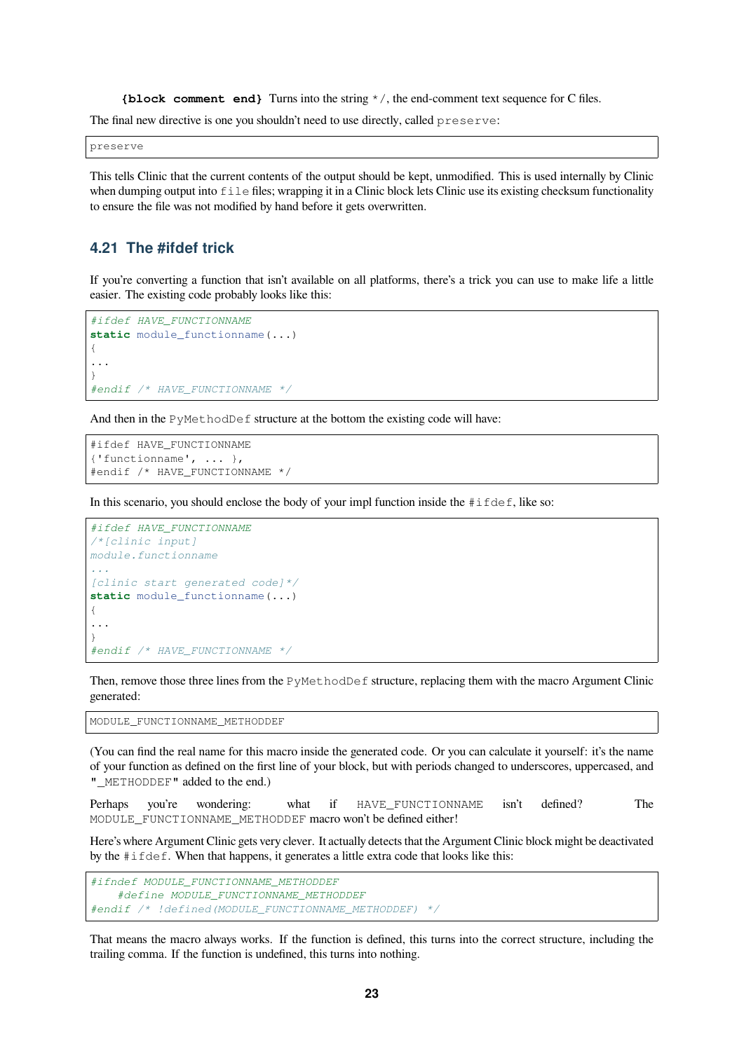**{block comment end}** Turns into the string \*/, the end-comment text sequence for C files.

The final new directive is one you shouldn't need to use directly, called preserve:

preserve

This tells Clinic that the current contents of the output should be kept, unmodified. This is used internally by Clinic when dumping output into  $f \perp e$  files; wrapping it in a Clinic block lets Clinic use its existing checksum functionality to ensure the file was not modified by hand before it gets overwritten.

#### **4.21 The #ifdef trick**

If you're converting a function that isn't available on all platforms, there's a trick you can use to make life a little easier. The existing code probably looks like this:

```
#ifdef HAVE_FUNCTIONNAME
static module_functionname(...)
{
...
}
#endif /* HAVE_FUNCTIONNAME */
```
And then in the PyMethodDef structure at the bottom the existing code will have:

```
#ifdef HAVE_FUNCTIONNAME
{'functionname', ... },
#endif /* HAVE_FUNCTIONNAME */
```
In this scenario, you should enclose the body of your impl function inside the  $\#i \pm \text{d} \in f$ , like so:

```
#ifdef HAVE_FUNCTIONNAME
/*[clinic input]
module.functionname
...
[clinic start generated code]*/
static module_functionname(...)
{
...
}
#endif /* HAVE_FUNCTIONNAME */
```
Then, remove those three lines from the PyMethodDef structure, replacing them with the macro Argument Clinic generated:

MODULE\_FUNCTIONNAME\_METHODDEF

(You can find the real name for this macro inside the generated code. Or you can calculate it yourself: it's the name of your function as defined on the first line of your block, but with periods changed to underscores, uppercased, and " METHODDEF" added to the end.)

Perhaps you're wondering: what if HAVE\_FUNCTIONNAME isn't defined? The MODULE FUNCTIONNAME METHODDEF macro won't be defined either!

Here's where Argument Clinic gets very clever. It actually detects that the Argument Clinic block might be deactivated by the #ifdef. When that happens, it generates a little extra code that looks like this:

```
#ifndef MODULE_FUNCTIONNAME_METHODDEF
   #define MODULE_FUNCTIONNAME_METHODDEF
#endif /* !defined(MODULE_FUNCTIONNAME_METHODDEF) */
```
That means the macro always works. If the function is defined, this turns into the correct structure, including the trailing comma. If the function is undefined, this turns into nothing.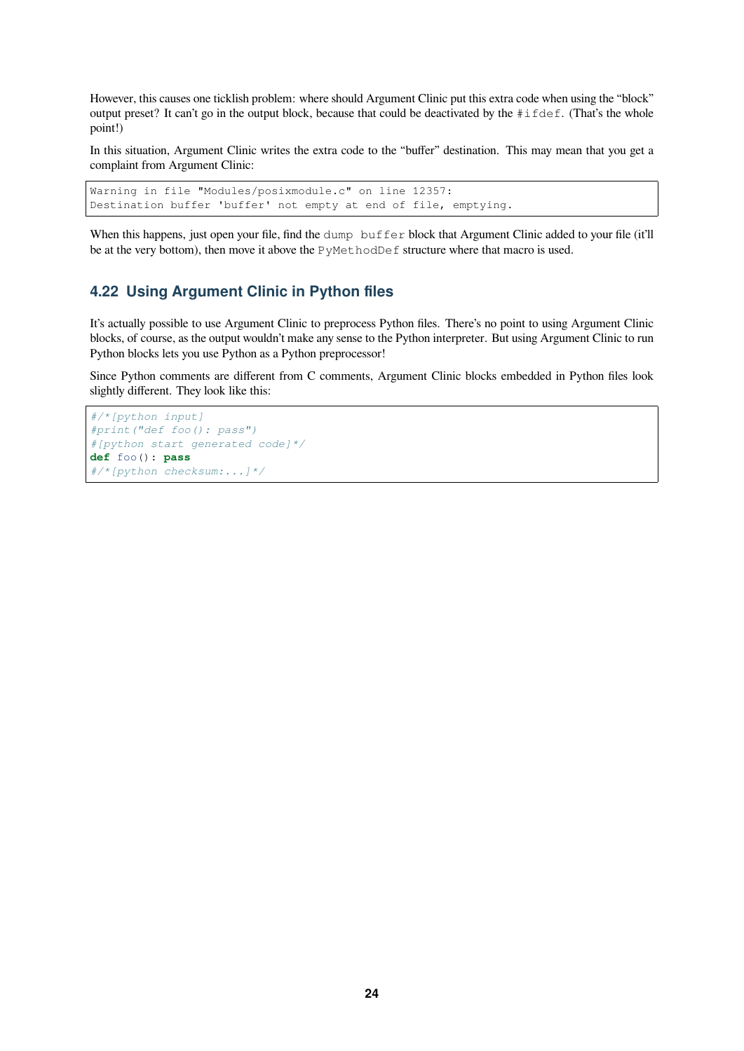However, this causes one ticklish problem: where should Argument Clinic put this extra code when using the "block" output preset? It can't go in the output block, because that could be deactivated by the  $\#$ ifdef. (That's the whole point!)

In this situation, Argument Clinic writes the extra code to the "buffer" destination. This may mean that you get a complaint from Argument Clinic:

```
Warning in file "Modules/posixmodule.c" on line 12357:
Destination buffer 'buffer' not empty at end of file, emptying.
```
When this happens, just open your file, find the dump buffer block that Argument Clinic added to your file (it'll be at the very bottom), then move it above the PyMethodDef structure where that macro is used.

#### **4.22 Using Argument Clinic in Python files**

It's actually possible to use Argument Clinic to preprocess Python files. There's no point to using Argument Clinic blocks, of course, as the output wouldn't make any sense to the Python interpreter. But using Argument Clinic to run Python blocks lets you use Python as a Python preprocessor!

Since Python comments are different from C comments, Argument Clinic blocks embedded in Python files look slightly different. They look like this:

```
#/*[python input]
#print("def foo(): pass")
#[python start generated code]*/
def foo(): pass
#/*[python checksum:...]*/
```